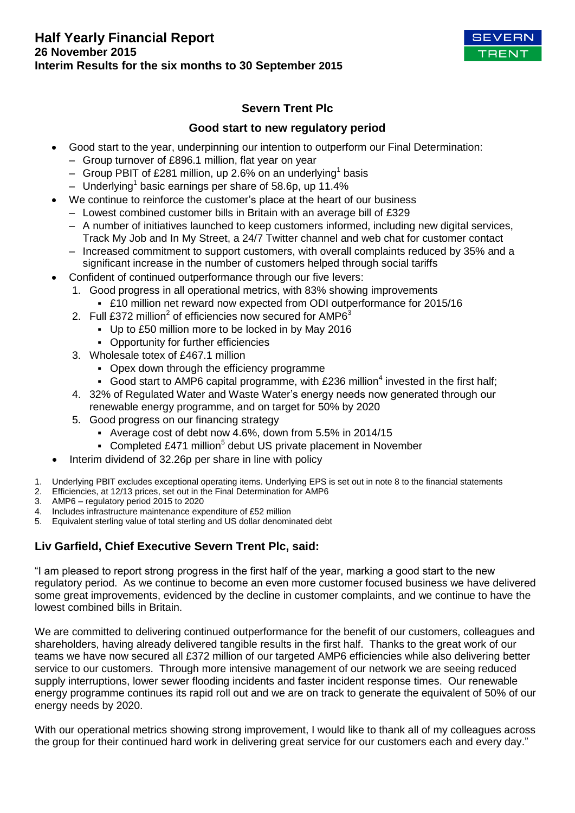

# **Severn Trent Plc**

# **Good start to new regulatory period**

- Good start to the year, underpinning our intention to outperform our Final Determination:
	- Group turnover of £896.1 million, flat year on year
	- $-$  Group PBIT of £281 million, up 2.6% on an underlying<sup>1</sup> basis
	- Underlying<sup>1</sup> basic earnings per share of 58.6p, up 11.4%
- We continue to reinforce the customer's place at the heart of our business
	- Lowest combined customer bills in Britain with an average bill of £329
	- A number of initiatives launched to keep customers informed, including new digital services, Track My Job and In My Street, a 24/7 Twitter channel and web chat for customer contact
	- Increased commitment to support customers, with overall complaints reduced by 35% and a significant increase in the number of customers helped through social tariffs
- Confident of continued outperformance through our five levers:
	- 1. Good progress in all operational metrics, with 83% showing improvements ▪ £10 million net reward now expected from ODI outperformance for 2015/16
	- 2. Full £372 million<sup>2</sup> of efficiencies now secured for AMP6 $3$ 
		- Up to £50 million more to be locked in by May 2016
		- Opportunity for further efficiencies
	- 3. Wholesale totex of £467.1 million
		- Opex down through the efficiency programme
		- Good start to AMP6 capital programme, with  $£236$  million<sup>4</sup> invested in the first half;
	- 4. 32% of Regulated Water and Waste Water's energy needs now generated through our renewable energy programme, and on target for 50% by 2020
	- 5. Good progress on our financing strategy
		- Average cost of debt now 4.6%, down from 5.5% in 2014/15
		- Completed £471 million<sup>5</sup> debut US private placement in November
- Interim dividend of 32.26p per share in line with policy
- 1. Underlying PBIT excludes exceptional operating items. Underlying EPS is set out in note 8 to the financial statements
- 2. Efficiencies, at 12/13 prices, set out in the Final Determination for AMP6
- 3. AMP6 regulatory period 2015 to 2020
- 4. Includes infrastructure maintenance expenditure of £52 million
- 5. Equivalent sterling value of total sterling and US dollar denominated debt

# **Liv Garfield, Chief Executive Severn Trent Plc, said:**

"I am pleased to report strong progress in the first half of the year, marking a good start to the new regulatory period. As we continue to become an even more customer focused business we have delivered some great improvements, evidenced by the decline in customer complaints, and we continue to have the lowest combined bills in Britain.

We are committed to delivering continued outperformance for the benefit of our customers, colleagues and shareholders, having already delivered tangible results in the first half. Thanks to the great work of our teams we have now secured all £372 million of our targeted AMP6 efficiencies while also delivering better service to our customers. Through more intensive management of our network we are seeing reduced supply interruptions, lower sewer flooding incidents and faster incident response times. Our renewable energy programme continues its rapid roll out and we are on track to generate the equivalent of 50% of our energy needs by 2020.

With our operational metrics showing strong improvement, I would like to thank all of my colleagues across the group for their continued hard work in delivering great service for our customers each and every day."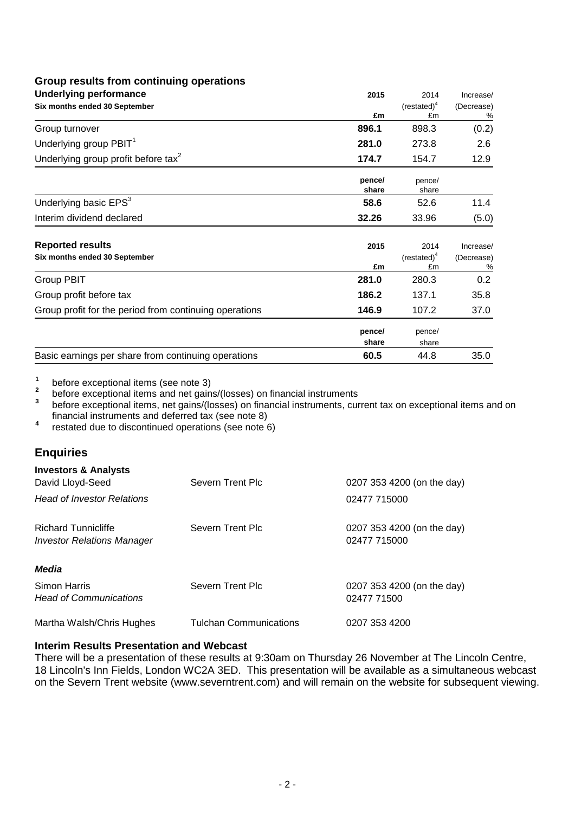# **Group results from continuing operations**

| <b>Underlying performance</b>                          | 2015            | 2014                  | Increase/  |
|--------------------------------------------------------|-----------------|-----------------------|------------|
| Six months ended 30 September                          |                 | (rested) <sup>4</sup> | (Decrease) |
|                                                        | £m              | £m                    | %          |
| Group turnover                                         | 896.1           | 898.3                 | (0.2)      |
| Underlying group PBIT <sup>1</sup>                     | 281.0           | 273.8                 | 2.6        |
| Underlying group profit before tax <sup>2</sup>        | 174.7           | 154.7                 | 12.9       |
|                                                        | pence/<br>share | pence/<br>share       |            |
| Underlying basic EPS <sup>3</sup>                      | 58.6            | 52.6                  | 11.4       |
| Interim dividend declared                              | 32.26           | 33.96                 | (5.0)      |
| <b>Reported results</b>                                | 2015            | 2014                  | Increase/  |
| Six months ended 30 September                          |                 | $(restated)^4$        | (Decrease) |
| <b>Group PBIT</b>                                      | £m<br>281.0     | £m<br>280.3           | %<br>0.2   |
|                                                        |                 |                       |            |
| Group profit before tax                                | 186.2           | 137.1                 | 35.8       |
| Group profit for the period from continuing operations | 146.9           | 107.2                 | 37.0       |
|                                                        | pence/<br>share | pence/<br>share       |            |
| Basic earnings per share from continuing operations    | 60.5            | 44.8                  | 35.0       |

**1** before exceptional items (see note 3)

**2** before exceptional items and net gains/(losses) on financial instruments

**3** before exceptional items, net gains/(losses) on financial instruments, current tax on exceptional items and on financial instruments and deferred tax (see note 8) **4**

restated due to discontinued operations (see note 6)

# **Enquiries**

| <b>Investors &amp; Analysts</b><br>David Lloyd-Seed<br><b>Head of Investor Relations</b> | Severn Trent Plc              | 0207 353 4200 (on the day)<br>02477 715000 |
|------------------------------------------------------------------------------------------|-------------------------------|--------------------------------------------|
| <b>Richard Tunnicliffe</b><br><i>Investor Relations Manager</i>                          | Severn Trent Plc              | 0207 353 4200 (on the day)<br>02477 715000 |
| <b>Media</b>                                                                             |                               |                                            |
| Simon Harris<br><b>Head of Communications</b>                                            | Severn Trent Plc              | 0207 353 4200 (on the day)<br>02477 71500  |
| Martha Walsh/Chris Hughes                                                                | <b>Tulchan Communications</b> | 0207 353 4200                              |

# **Interim Results Presentation and Webcast**

There will be a presentation of these results at 9:30am on Thursday 26 November at The Lincoln Centre, 18 Lincoln's Inn Fields, London WC2A 3ED. This presentation will be available as a simultaneous webcast on the Severn Trent website (www.severntrent.com) and will remain on the website for subsequent viewing.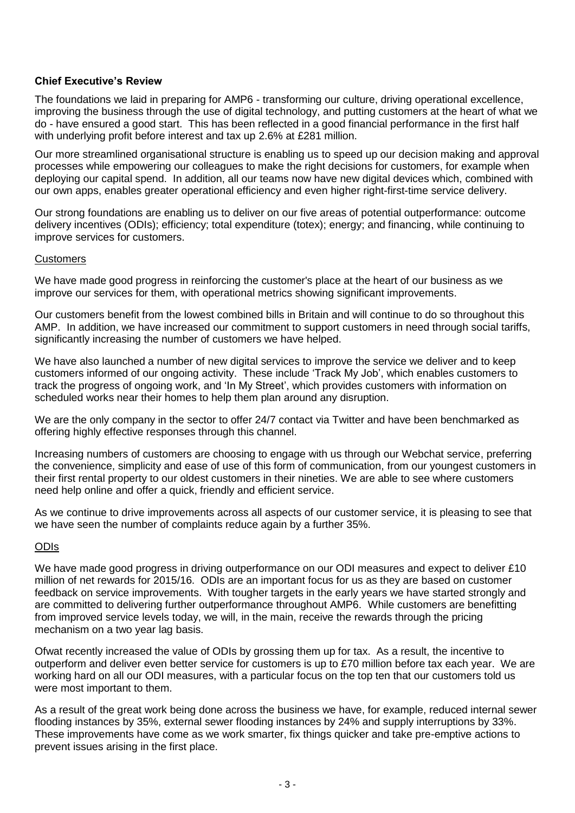# **Chief Executive's Review**

The foundations we laid in preparing for AMP6 - transforming our culture, driving operational excellence, improving the business through the use of digital technology, and putting customers at the heart of what we do - have ensured a good start. This has been reflected in a good financial performance in the first half with underlying profit before interest and tax up 2.6% at £281 million.

Our more streamlined organisational structure is enabling us to speed up our decision making and approval processes while empowering our colleagues to make the right decisions for customers, for example when deploying our capital spend. In addition, all our teams now have new digital devices which, combined with our own apps, enables greater operational efficiency and even higher right-first-time service delivery.

Our strong foundations are enabling us to deliver on our five areas of potential outperformance: outcome delivery incentives (ODIs); efficiency; total expenditure (totex); energy; and financing, while continuing to improve services for customers.

# **Customers**

We have made good progress in reinforcing the customer's place at the heart of our business as we improve our services for them, with operational metrics showing significant improvements.

Our customers benefit from the lowest combined bills in Britain and will continue to do so throughout this AMP. In addition, we have increased our commitment to support customers in need through social tariffs, significantly increasing the number of customers we have helped.

We have also launched a number of new digital services to improve the service we deliver and to keep customers informed of our ongoing activity. These include 'Track My Job', which enables customers to track the progress of ongoing work, and 'In My Street', which provides customers with information on scheduled works near their homes to help them plan around any disruption.

We are the only company in the sector to offer 24/7 contact via Twitter and have been benchmarked as offering highly effective responses through this channel.

Increasing numbers of customers are choosing to engage with us through our Webchat service, preferring the convenience, simplicity and ease of use of this form of communication, from our youngest customers in their first rental property to our oldest customers in their nineties. We are able to see where customers need help online and offer a quick, friendly and efficient service.

As we continue to drive improvements across all aspects of our customer service, it is pleasing to see that we have seen the number of complaints reduce again by a further 35%.

# ODIs

We have made good progress in driving outperformance on our ODI measures and expect to deliver £10 million of net rewards for 2015/16. ODIs are an important focus for us as they are based on customer feedback on service improvements. With tougher targets in the early years we have started strongly and are committed to delivering further outperformance throughout AMP6. While customers are benefitting from improved service levels today, we will, in the main, receive the rewards through the pricing mechanism on a two year lag basis.

Ofwat recently increased the value of ODIs by grossing them up for tax. As a result, the incentive to outperform and deliver even better service for customers is up to £70 million before tax each year. We are working hard on all our ODI measures, with a particular focus on the top ten that our customers told us were most important to them.

As a result of the great work being done across the business we have, for example, reduced internal sewer flooding instances by 35%, external sewer flooding instances by 24% and supply interruptions by 33%. These improvements have come as we work smarter, fix things quicker and take pre-emptive actions to prevent issues arising in the first place.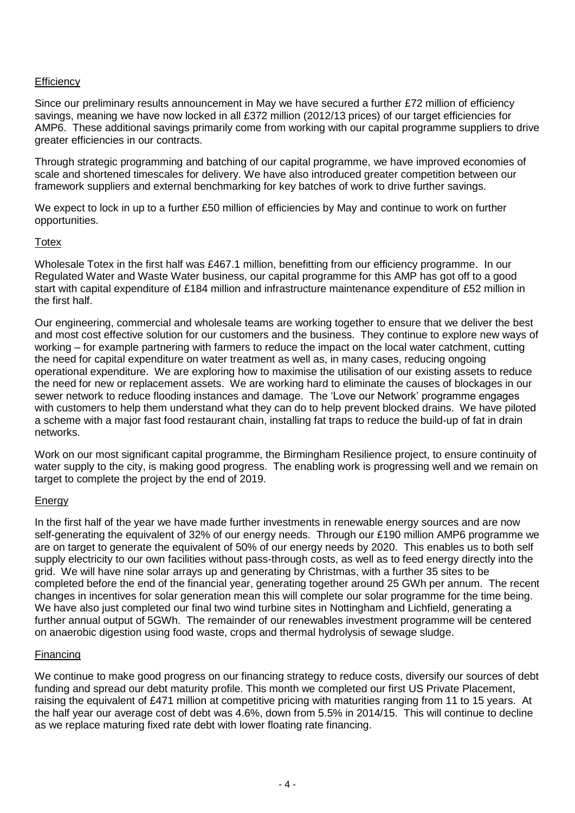# **Efficiency**

Since our preliminary results announcement in May we have secured a further £72 million of efficiency savings, meaning we have now locked in all £372 million (2012/13 prices) of our target efficiencies for AMP6. These additional savings primarily come from working with our capital programme suppliers to drive greater efficiencies in our contracts.

Through strategic programming and batching of our capital programme, we have improved economies of scale and shortened timescales for delivery. We have also introduced greater competition between our framework suppliers and external benchmarking for key batches of work to drive further savings.

We expect to lock in up to a further £50 million of efficiencies by May and continue to work on further opportunities.

# **Totex**

Wholesale Totex in the first half was £467.1 million, benefitting from our efficiency programme. In our Regulated Water and Waste Water business, our capital programme for this AMP has got off to a good start with capital expenditure of £184 million and infrastructure maintenance expenditure of £52 million in the first half.

Our engineering, commercial and wholesale teams are working together to ensure that we deliver the best and most cost effective solution for our customers and the business. They continue to explore new ways of working – for example partnering with farmers to reduce the impact on the local water catchment, cutting the need for capital expenditure on water treatment as well as, in many cases, reducing ongoing operational expenditure. We are exploring how to maximise the utilisation of our existing assets to reduce the need for new or replacement assets. We are working hard to eliminate the causes of blockages in our sewer network to reduce flooding instances and damage. The 'Love our Network' programme engages with customers to help them understand what they can do to help prevent blocked drains. We have piloted a scheme with a major fast food restaurant chain, installing fat traps to reduce the build-up of fat in drain networks.

Work on our most significant capital programme, the Birmingham Resilience project, to ensure continuity of water supply to the city, is making good progress. The enabling work is progressing well and we remain on target to complete the project by the end of 2019.

# **Energy**

In the first half of the year we have made further investments in renewable energy sources and are now self-generating the equivalent of 32% of our energy needs. Through our £190 million AMP6 programme we are on target to generate the equivalent of 50% of our energy needs by 2020. This enables us to both self supply electricity to our own facilities without pass-through costs, as well as to feed energy directly into the grid. We will have nine solar arrays up and generating by Christmas, with a further 35 sites to be completed before the end of the financial year, generating together around 25 GWh per annum. The recent changes in incentives for solar generation mean this will complete our solar programme for the time being. We have also just completed our final two wind turbine sites in Nottingham and Lichfield, generating a further annual output of 5GWh. The remainder of our renewables investment programme will be centered on anaerobic digestion using food waste, crops and thermal hydrolysis of sewage sludge.

# Financing

We continue to make good progress on our financing strategy to reduce costs, diversify our sources of debt funding and spread our debt maturity profile. This month we completed our first US Private Placement, raising the equivalent of £471 million at competitive pricing with maturities ranging from 11 to 15 years. At the half year our average cost of debt was 4.6%, down from 5.5% in 2014/15. This will continue to decline as we replace maturing fixed rate debt with lower floating rate financing.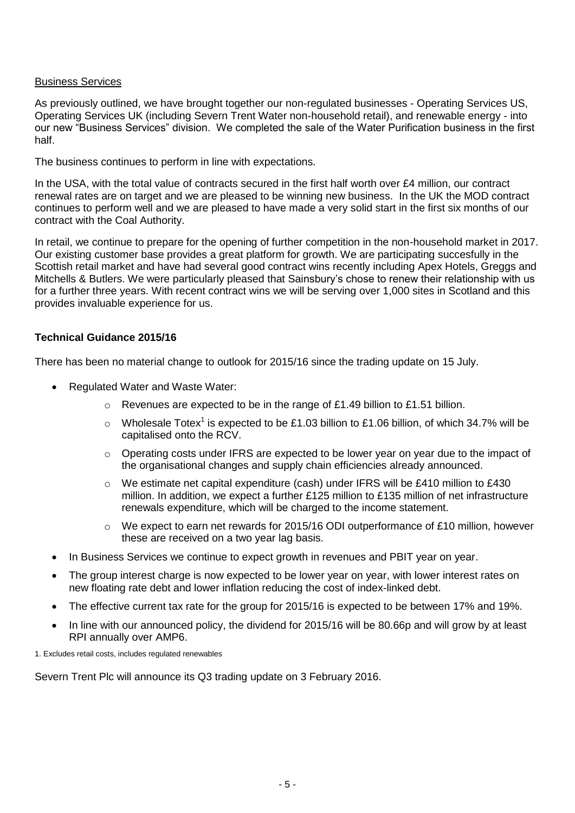# Business Services

As previously outlined, we have brought together our non-regulated businesses - Operating Services US, Operating Services UK (including Severn Trent Water non-household retail), and renewable energy - into our new "Business Services" division. We completed the sale of the Water Purification business in the first half.

The business continues to perform in line with expectations.

In the USA, with the total value of contracts secured in the first half worth over £4 million, our contract renewal rates are on target and we are pleased to be winning new business. In the UK the MOD contract continues to perform well and we are pleased to have made a very solid start in the first six months of our contract with the Coal Authority.

In retail, we continue to prepare for the opening of further competition in the non-household market in 2017. Our existing customer base provides a great platform for growth. We are participating succesfully in the Scottish retail market and have had several good contract wins recently including Apex Hotels, Greggs and Mitchells & Butlers. We were particularly pleased that Sainsbury's chose to renew their relationship with us for a further three years. With recent contract wins we will be serving over 1,000 sites in Scotland and this provides invaluable experience for us.

# **Technical Guidance 2015/16**

There has been no material change to outlook for 2015/16 since the trading update on 15 July.

- Regulated Water and Waste Water:
	- o Revenues are expected to be in the range of £1.49 billion to £1.51 billion.
	- $\circ$  Wholesale Totex<sup>1</sup> is expected to be £1.03 billion to £1.06 billion, of which 34.7% will be capitalised onto the RCV.
	- $\circ$  Operating costs under IFRS are expected to be lower year on year due to the impact of the organisational changes and supply chain efficiencies already announced.
	- o We estimate net capital expenditure (cash) under IFRS will be £410 million to £430 million. In addition, we expect a further £125 million to £135 million of net infrastructure renewals expenditure, which will be charged to the income statement.
	- $\circ$  We expect to earn net rewards for 2015/16 ODI outperformance of £10 million, however these are received on a two year lag basis.
- In Business Services we continue to expect growth in revenues and PBIT year on year.
- The group interest charge is now expected to be lower year on year, with lower interest rates on new floating rate debt and lower inflation reducing the cost of index-linked debt.
- The effective current tax rate for the group for 2015/16 is expected to be between 17% and 19%.
- In line with our announced policy, the dividend for 2015/16 will be 80.66p and will grow by at least RPI annually over AMP6.

1. Excludes retail costs, includes regulated renewables

Severn Trent Plc will announce its Q3 trading update on 3 February 2016.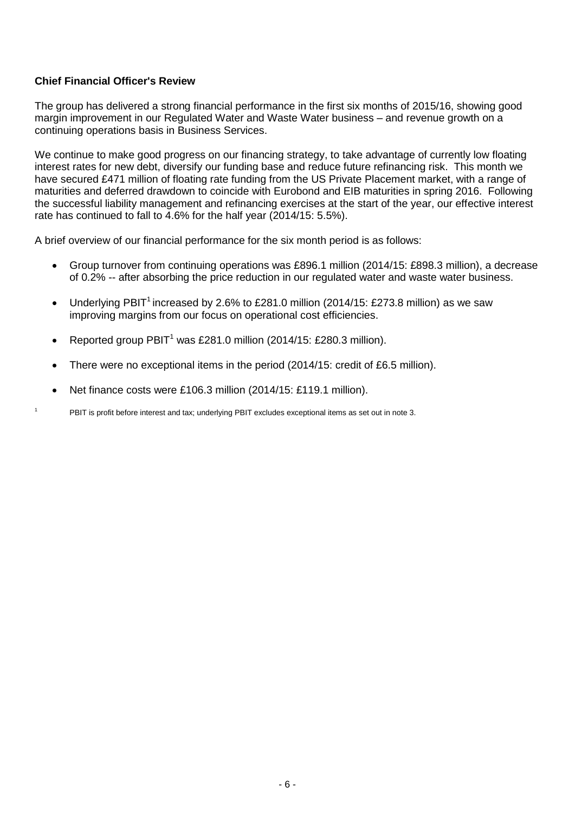# **Chief Financial Officer's Review**

The group has delivered a strong financial performance in the first six months of 2015/16, showing good margin improvement in our Regulated Water and Waste Water business – and revenue growth on a continuing operations basis in Business Services.

We continue to make good progress on our financing strategy, to take advantage of currently low floating interest rates for new debt, diversify our funding base and reduce future refinancing risk. This month we have secured £471 million of floating rate funding from the US Private Placement market, with a range of maturities and deferred drawdown to coincide with Eurobond and EIB maturities in spring 2016. Following the successful liability management and refinancing exercises at the start of the year, our effective interest rate has continued to fall to 4.6% for the half year (2014/15: 5.5%).

A brief overview of our financial performance for the six month period is as follows:

- Group turnover from continuing operations was £896.1 million (2014/15: £898.3 million), a decrease of 0.2% -- after absorbing the price reduction in our regulated water and waste water business.
- Underlying PBIT<sup>1</sup> increased by 2.6% to £281.0 million (2014/15: £273.8 million) as we saw improving margins from our focus on operational cost efficiencies.
- Reported group PBIT<sup>1</sup> was £281.0 million (2014/15: £280.3 million).
- There were no exceptional items in the period (2014/15: credit of £6.5 million).
- Net finance costs were £106.3 million (2014/15: £119.1 million).

<sup>1</sup> PBIT is profit before interest and tax; underlying PBIT excludes exceptional items as set out in note 3.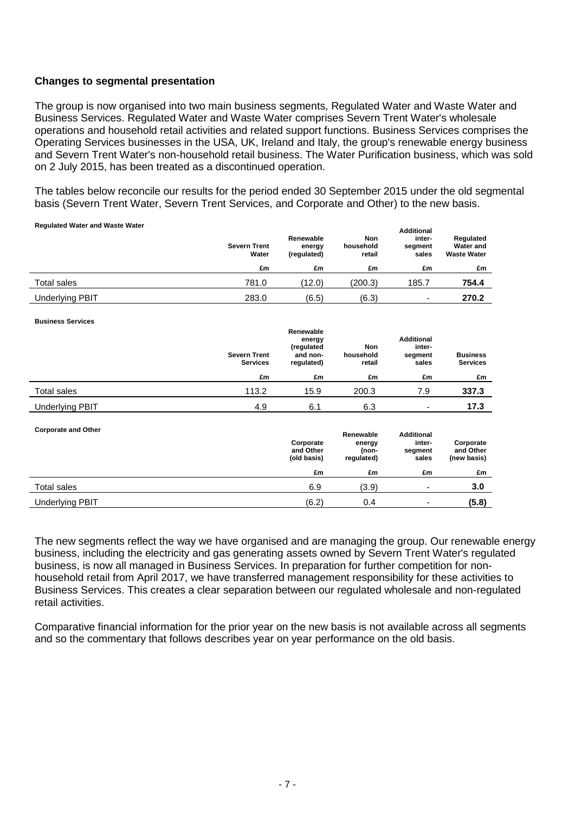# **Changes to segmental presentation**

The group is now organised into two main business segments, Regulated Water and Waste Water and Business Services. Regulated Water and Waste Water comprises Severn Trent Water's wholesale operations and household retail activities and related support functions. Business Services comprises the Operating Services businesses in the USA, UK, Ireland and Italy, the group's renewable energy business and Severn Trent Water's non-household retail business. The Water Purification business, which was sold on 2 July 2015, has been treated as a discontinued operation.

The tables below reconcile our results for the period ended 30 September 2015 under the old segmental basis (Severn Trent Water, Severn Trent Services, and Corporate and Other) to the new basis.

| <b>Severn Trent</b><br>Water | Renewable<br>energy<br>(regulated) | <b>Non</b><br>household<br>retail | <b>Additional</b><br>inter-<br>segment<br>sales | Regulated<br><b>Water and</b><br><b>Waste Water</b> |
|------------------------------|------------------------------------|-----------------------------------|-------------------------------------------------|-----------------------------------------------------|
| £m                           | £m                                 | £m                                | £m                                              | £m                                                  |
| 781.0                        | (12.0)                             | (200.3)                           | 185.7                                           | 754.4                                               |
| 283.0                        | (6.5)                              | (6.3)                             | $\overline{\phantom{0}}$                        | 270.2                                               |
|                              |                                    |                                   |                                                 |                                                     |

| <b>Business Services</b>   |                                        |                                                             |                                            |                                                 |                                       |
|----------------------------|----------------------------------------|-------------------------------------------------------------|--------------------------------------------|-------------------------------------------------|---------------------------------------|
|                            | <b>Severn Trent</b><br><b>Services</b> | Renewable<br>energy<br>(regulated<br>and non-<br>regulated) | Non<br>household<br>retail                 | <b>Additional</b><br>inter-<br>segment<br>sales | <b>Business</b><br><b>Services</b>    |
|                            | £m                                     | £m                                                          | £m                                         | £m                                              | £m                                    |
| Total sales                | 113.2                                  | 15.9                                                        | 200.3                                      | 7.9                                             | 337.3                                 |
| <b>Underlying PBIT</b>     | 4.9                                    | 6.1                                                         | 6.3                                        | ٠                                               | 17.3                                  |
| <b>Corporate and Other</b> |                                        | Corporate<br>and Other<br>(old basis)                       | Renewable<br>energy<br>(non-<br>regulated) | <b>Additional</b><br>inter-<br>segment<br>sales | Corporate<br>and Other<br>(new basis) |
|                            |                                        | £m                                                          | £m                                         | £m                                              | £m                                    |
| <b>Total sales</b>         |                                        | 6.9                                                         | (3.9)                                      | ۰                                               | 3.0                                   |
| <b>Underlying PBIT</b>     |                                        | (6.2)                                                       | 0.4                                        | -                                               | (5.8)                                 |

The new segments reflect the way we have organised and are managing the group. Our renewable energy business, including the electricity and gas generating assets owned by Severn Trent Water's regulated business, is now all managed in Business Services. In preparation for further competition for nonhousehold retail from April 2017, we have transferred management responsibility for these activities to Business Services. This creates a clear separation between our regulated wholesale and non-regulated retail activities.

Comparative financial information for the prior year on the new basis is not available across all segments and so the commentary that follows describes year on year performance on the old basis.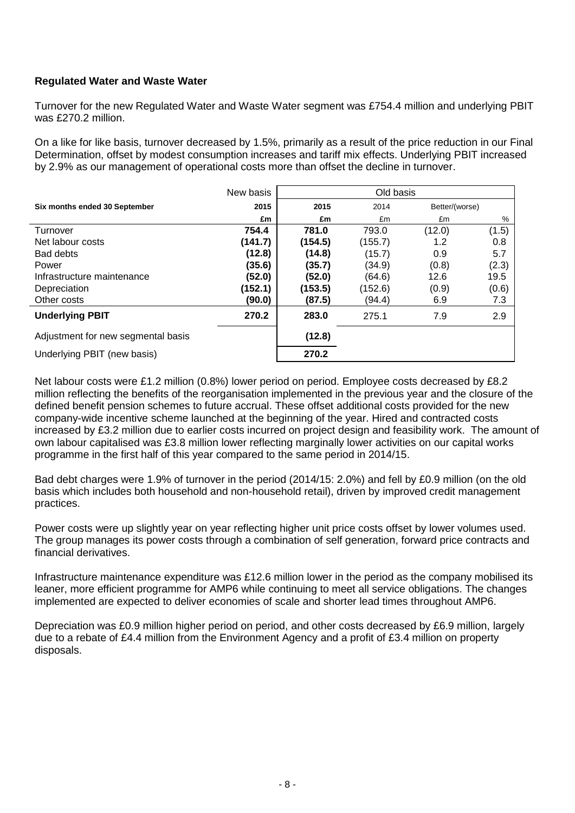# **Regulated Water and Waste Water**

Turnover for the new Regulated Water and Waste Water segment was £754.4 million and underlying PBIT was £270.2 million.

On a like for like basis, turnover decreased by 1.5%, primarily as a result of the price reduction in our Final Determination, offset by modest consumption increases and tariff mix effects. Underlying PBIT increased by 2.9% as our management of operational costs more than offset the decline in turnover.

|                                    | New basis |         | Old basis |                |       |
|------------------------------------|-----------|---------|-----------|----------------|-------|
| Six months ended 30 September      | 2015      | 2015    | 2014      | Better/(worse) |       |
|                                    | £m        | £m      | £m        | £m             | %     |
| Turnover                           | 754.4     | 781.0   | 793.0     | (12.0)         | (1.5) |
| Net labour costs                   | (141.7)   | (154.5) | (155.7)   | 1.2            | 0.8   |
| Bad debts                          | (12.8)    | (14.8)  | (15.7)    | 0.9            | 5.7   |
| Power                              | (35.6)    | (35.7)  | (34.9)    | (0.8)          | (2.3) |
| Infrastructure maintenance         | (52.0)    | (52.0)  | (64.6)    | 12.6           | 19.5  |
| Depreciation                       | (152.1)   | (153.5) | (152.6)   | (0.9)          | (0.6) |
| Other costs                        | (90.0)    | (87.5)  | (94.4)    | 6.9            | 7.3   |
| <b>Underlying PBIT</b>             | 270.2     | 283.0   | 275.1     | 7.9            | 2.9   |
| Adjustment for new segmental basis |           | (12.8)  |           |                |       |
| Underlying PBIT (new basis)        |           | 270.2   |           |                |       |

Net labour costs were £1.2 million (0.8%) lower period on period. Employee costs decreased by £8.2 million reflecting the benefits of the reorganisation implemented in the previous year and the closure of the defined benefit pension schemes to future accrual. These offset additional costs provided for the new company-wide incentive scheme launched at the beginning of the year. Hired and contracted costs increased by £3.2 million due to earlier costs incurred on project design and feasibility work. The amount of own labour capitalised was £3.8 million lower reflecting marginally lower activities on our capital works programme in the first half of this year compared to the same period in 2014/15.

Bad debt charges were 1.9% of turnover in the period (2014/15: 2.0%) and fell by £0.9 million (on the old basis which includes both household and non-household retail), driven by improved credit management practices.

Power costs were up slightly year on year reflecting higher unit price costs offset by lower volumes used. The group manages its power costs through a combination of self generation, forward price contracts and financial derivatives.

Infrastructure maintenance expenditure was £12.6 million lower in the period as the company mobilised its leaner, more efficient programme for AMP6 while continuing to meet all service obligations. The changes implemented are expected to deliver economies of scale and shorter lead times throughout AMP6.

Depreciation was £0.9 million higher period on period, and other costs decreased by £6.9 million, largely due to a rebate of £4.4 million from the Environment Agency and a profit of £3.4 million on property disposals.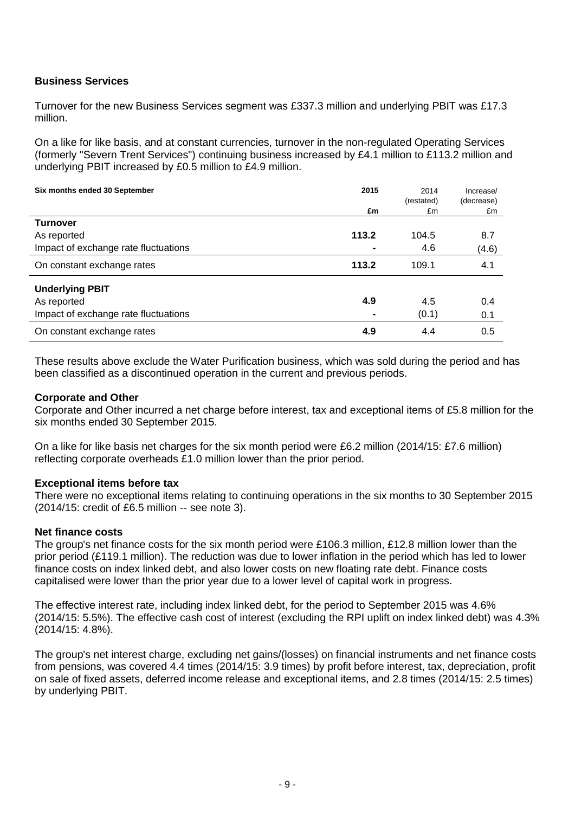# **Business Services**

Turnover for the new Business Services segment was £337.3 million and underlying PBIT was £17.3 million.

On a like for like basis, and at constant currencies, turnover in the non-regulated Operating Services (formerly "Severn Trent Services") continuing business increased by £4.1 million to £113.2 million and underlying PBIT increased by £0.5 million to £4.9 million.

| Six months ended 30 September        | 2015  | 2014<br>(restated) | Increase/<br>(decrease) |
|--------------------------------------|-------|--------------------|-------------------------|
|                                      | £m    | £m                 | £m                      |
| <b>Turnover</b>                      |       |                    |                         |
| As reported                          | 113.2 | 104.5              | 8.7                     |
| Impact of exchange rate fluctuations |       | 4.6                | (4.6)                   |
| On constant exchange rates           | 113.2 | 109.1              | 4.1                     |
| <b>Underlying PBIT</b>               |       |                    |                         |
| As reported                          | 4.9   | 4.5                | 0.4                     |
| Impact of exchange rate fluctuations |       | (0.1)              | 0.1                     |
| On constant exchange rates           | 4.9   | 4.4                | 0.5                     |

These results above exclude the Water Purification business, which was sold during the period and has been classified as a discontinued operation in the current and previous periods.

# **Corporate and Other**

Corporate and Other incurred a net charge before interest, tax and exceptional items of £5.8 million for the six months ended 30 September 2015.

On a like for like basis net charges for the six month period were £6.2 million (2014/15: £7.6 million) reflecting corporate overheads £1.0 million lower than the prior period.

### **Exceptional items before tax**

There were no exceptional items relating to continuing operations in the six months to 30 September 2015 (2014/15: credit of £6.5 million -- see note 3).

### **Net finance costs**

The group's net finance costs for the six month period were £106.3 million, £12.8 million lower than the prior period (£119.1 million). The reduction was due to lower inflation in the period which has led to lower finance costs on index linked debt, and also lower costs on new floating rate debt. Finance costs capitalised were lower than the prior year due to a lower level of capital work in progress.

The effective interest rate, including index linked debt, for the period to September 2015 was 4.6% (2014/15: 5.5%). The effective cash cost of interest (excluding the RPI uplift on index linked debt) was 4.3% (2014/15: 4.8%).

The group's net interest charge, excluding net gains/(losses) on financial instruments and net finance costs from pensions, was covered 4.4 times (2014/15: 3.9 times) by profit before interest, tax, depreciation, profit on sale of fixed assets, deferred income release and exceptional items, and 2.8 times (2014/15: 2.5 times) by underlying PBIT.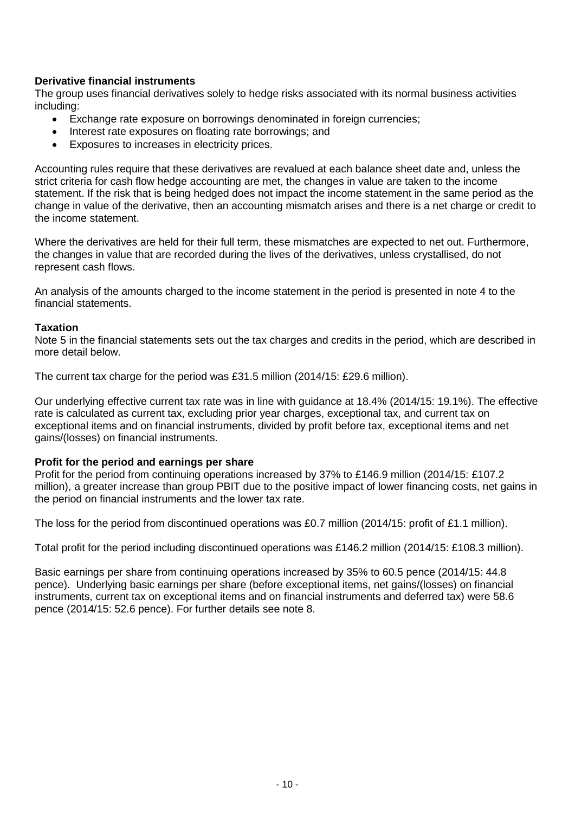# **Derivative financial instruments**

The group uses financial derivatives solely to hedge risks associated with its normal business activities including:

- Exchange rate exposure on borrowings denominated in foreign currencies;
- Interest rate exposures on floating rate borrowings; and
- Exposures to increases in electricity prices.

Accounting rules require that these derivatives are revalued at each balance sheet date and, unless the strict criteria for cash flow hedge accounting are met, the changes in value are taken to the income statement. If the risk that is being hedged does not impact the income statement in the same period as the change in value of the derivative, then an accounting mismatch arises and there is a net charge or credit to the income statement.

Where the derivatives are held for their full term, these mismatches are expected to net out. Furthermore, the changes in value that are recorded during the lives of the derivatives, unless crystallised, do not represent cash flows.

An analysis of the amounts charged to the income statement in the period is presented in note 4 to the financial statements.

# **Taxation**

Note 5 in the financial statements sets out the tax charges and credits in the period, which are described in more detail below.

The current tax charge for the period was £31.5 million (2014/15: £29.6 million).

Our underlying effective current tax rate was in line with guidance at 18.4% (2014/15: 19.1%). The effective rate is calculated as current tax, excluding prior year charges, exceptional tax, and current tax on exceptional items and on financial instruments, divided by profit before tax, exceptional items and net gains/(losses) on financial instruments.

# **Profit for the period and earnings per share**

Profit for the period from continuing operations increased by 37% to £146.9 million (2014/15: £107.2 million), a greater increase than group PBIT due to the positive impact of lower financing costs, net gains in the period on financial instruments and the lower tax rate.

The loss for the period from discontinued operations was £0.7 million (2014/15: profit of £1.1 million).

Total profit for the period including discontinued operations was £146.2 million (2014/15: £108.3 million).

Basic earnings per share from continuing operations increased by 35% to 60.5 pence (2014/15: 44.8 pence). Underlying basic earnings per share (before exceptional items, net gains/(losses) on financial instruments, current tax on exceptional items and on financial instruments and deferred tax) were 58.6 pence (2014/15: 52.6 pence). For further details see note 8.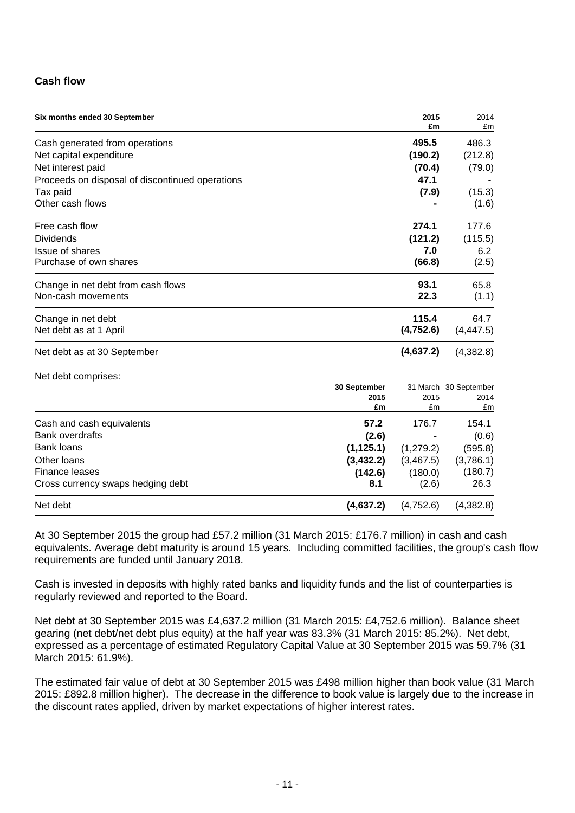# **Cash flow**

| Six months ended 30 September                   | 2015<br>£m | 2014<br>£m |  |
|-------------------------------------------------|------------|------------|--|
| Cash generated from operations                  | 495.5      | 486.3      |  |
| Net capital expenditure                         | (190.2)    | (212.8)    |  |
| Net interest paid                               | (70.4)     | (79.0)     |  |
| Proceeds on disposal of discontinued operations | 47.1       |            |  |
| Tax paid                                        | (7.9)      | (15.3)     |  |
| Other cash flows                                |            | (1.6)      |  |
| Free cash flow                                  | 274.1      | 177.6      |  |
| <b>Dividends</b>                                | (121.2)    | (115.5)    |  |
| <b>Issue of shares</b>                          | 7.0        | 6.2        |  |
| Purchase of own shares                          | (66.8)     | (2.5)      |  |
| Change in net debt from cash flows              | 93.1       | 65.8       |  |
| Non-cash movements                              | 22.3       | (1.1)      |  |
| Change in net debt                              | 115.4      | 64.7       |  |
| Net debt as at 1 April                          | (4, 752.6) | (4, 447.5) |  |
| Net debt as at 30 September                     | (4,637.2)  | (4,382.8)  |  |

Net debt comprises:

|                                   | 30 September<br>2015 |           | 31 March 30 September |
|-----------------------------------|----------------------|-----------|-----------------------|
|                                   |                      |           | 2014                  |
|                                   | £m                   | £m        | £m                    |
| Cash and cash equivalents         | 57.2                 | 176.7     | 154.1                 |
| Bank overdrafts                   | (2.6)                |           | (0.6)                 |
| Bank loans                        | (1, 125.1)           | (1,279.2) | (595.8)               |
| Other Ioans                       | (3, 432.2)           | (3,467.5) | (3,786.1)             |
| Finance leases                    | (142.6)              | (180.0)   | (180.7)               |
| Cross currency swaps hedging debt | 8.1                  | (2.6)     | 26.3                  |
| Net debt                          | (4,637.2)            | (4,752.6) | (4,382.8)             |

At 30 September 2015 the group had £57.2 million (31 March 2015: £176.7 million) in cash and cash equivalents. Average debt maturity is around 15 years. Including committed facilities, the group's cash flow requirements are funded until January 2018.

Cash is invested in deposits with highly rated banks and liquidity funds and the list of counterparties is regularly reviewed and reported to the Board.

Net debt at 30 September 2015 was £4,637.2 million (31 March 2015: £4,752.6 million). Balance sheet gearing (net debt/net debt plus equity) at the half year was 83.3% (31 March 2015: 85.2%). Net debt, expressed as a percentage of estimated Regulatory Capital Value at 30 September 2015 was 59.7% (31 March 2015: 61.9%).

The estimated fair value of debt at 30 September 2015 was £498 million higher than book value (31 March 2015: £892.8 million higher). The decrease in the difference to book value is largely due to the increase in the discount rates applied, driven by market expectations of higher interest rates.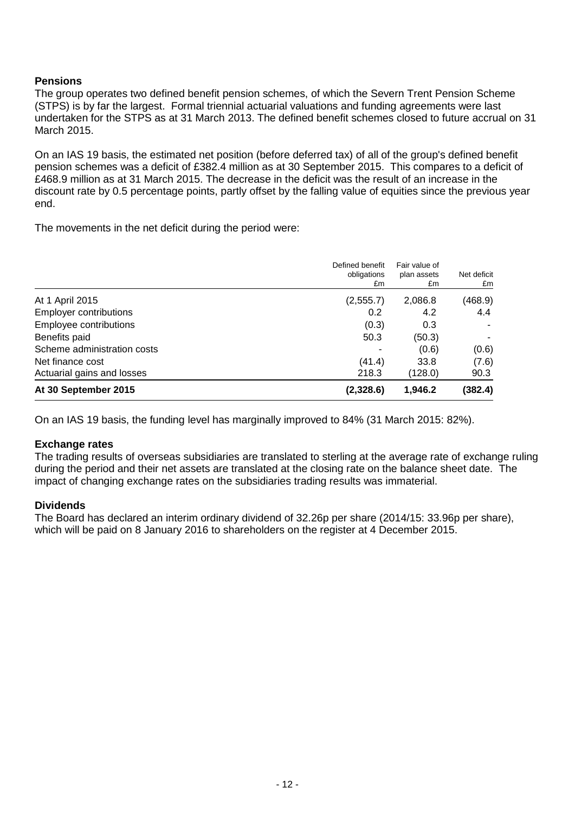# **Pensions**

The group operates two defined benefit pension schemes, of which the Severn Trent Pension Scheme (STPS) is by far the largest. Formal triennial actuarial valuations and funding agreements were last undertaken for the STPS as at 31 March 2013. The defined benefit schemes closed to future accrual on 31 March 2015.

On an IAS 19 basis, the estimated net position (before deferred tax) of all of the group's defined benefit pension schemes was a deficit of £382.4 million as at 30 September 2015. This compares to a deficit of £468.9 million as at 31 March 2015. The decrease in the deficit was the result of an increase in the discount rate by 0.5 percentage points, partly offset by the falling value of equities since the previous year end.

The movements in the net deficit during the period were:

|                               | Defined benefit<br>obligations<br>£m | Fair value of<br>plan assets<br>£m | Net deficit<br>£m |
|-------------------------------|--------------------------------------|------------------------------------|-------------------|
| At 1 April 2015               | (2,555.7)                            | 2,086.8                            | (468.9)           |
| <b>Employer contributions</b> | 0.2                                  | 4.2                                | 4.4               |
| Employee contributions        | (0.3)                                | 0.3                                |                   |
| Benefits paid                 | 50.3                                 | (50.3)                             |                   |
| Scheme administration costs   |                                      | (0.6)                              | (0.6)             |
| Net finance cost              | (41.4)                               | 33.8                               | (7.6)             |
| Actuarial gains and losses    | 218.3                                | (128.0)                            | 90.3              |
| At 30 September 2015          | (2,328.6)                            | 1,946.2                            | (382.4)           |

On an IAS 19 basis, the funding level has marginally improved to 84% (31 March 2015: 82%).

# **Exchange rates**

The trading results of overseas subsidiaries are translated to sterling at the average rate of exchange ruling during the period and their net assets are translated at the closing rate on the balance sheet date. The impact of changing exchange rates on the subsidiaries trading results was immaterial.

# **Dividends**

The Board has declared an interim ordinary dividend of 32.26p per share (2014/15: 33.96p per share), which will be paid on 8 January 2016 to shareholders on the register at 4 December 2015.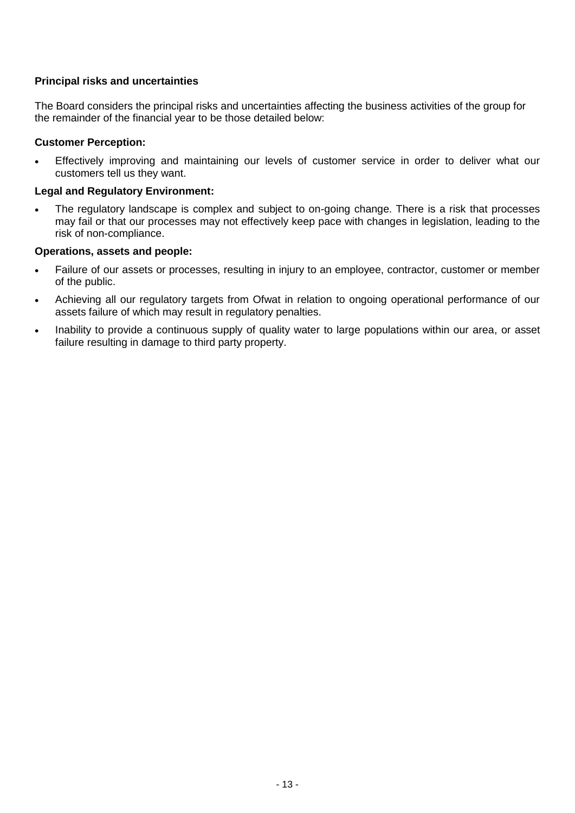# **Principal risks and uncertainties**

The Board considers the principal risks and uncertainties affecting the business activities of the group for the remainder of the financial year to be those detailed below:

### **Customer Perception:**

 Effectively improving and maintaining our levels of customer service in order to deliver what our customers tell us they want.

### **Legal and Regulatory Environment:**

 The regulatory landscape is complex and subject to on-going change. There is a risk that processes may fail or that our processes may not effectively keep pace with changes in legislation, leading to the risk of non-compliance.

### **Operations, assets and people:**

- Failure of our assets or processes, resulting in injury to an employee, contractor, customer or member of the public.
- Achieving all our regulatory targets from Ofwat in relation to ongoing operational performance of our assets failure of which may result in regulatory penalties.
- Inability to provide a continuous supply of quality water to large populations within our area, or asset failure resulting in damage to third party property.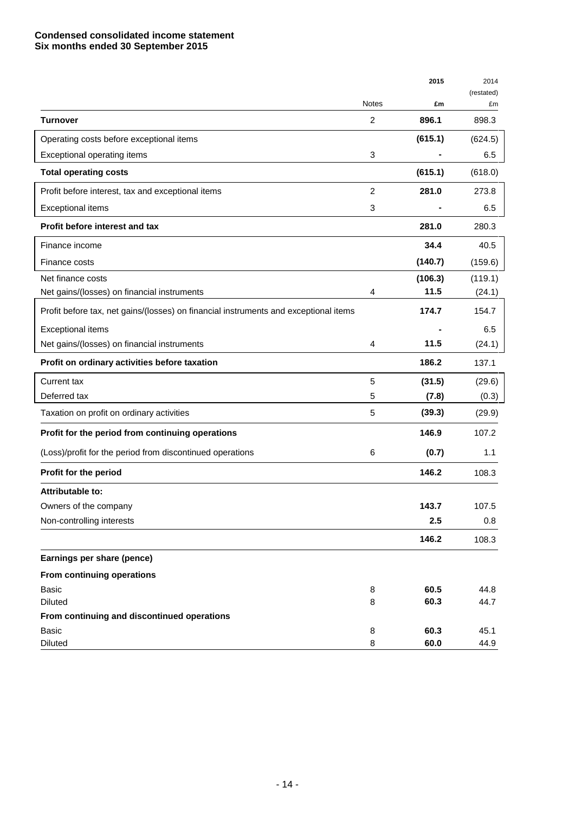# **Condensed consolidated income statement Six months ended 30 September 2015**

|                                                                                      |              | 2015    | 2014             |
|--------------------------------------------------------------------------------------|--------------|---------|------------------|
|                                                                                      | <b>Notes</b> | £m      | (restated)<br>£m |
| Turnover                                                                             | 2            | 896.1   | 898.3            |
| Operating costs before exceptional items                                             |              | (615.1) | (624.5)          |
| Exceptional operating items                                                          | 3            |         | 6.5              |
| <b>Total operating costs</b>                                                         |              | (615.1) | (618.0)          |
| Profit before interest, tax and exceptional items                                    | 2            | 281.0   | 273.8            |
| <b>Exceptional items</b>                                                             | 3            |         | 6.5              |
| Profit before interest and tax                                                       |              | 281.0   | 280.3            |
| Finance income                                                                       |              | 34.4    | 40.5             |
| Finance costs                                                                        |              | (140.7) | (159.6)          |
| Net finance costs                                                                    |              | (106.3) | (119.1)          |
| Net gains/(losses) on financial instruments                                          | 4            | 11.5    | (24.1)           |
| Profit before tax, net gains/(losses) on financial instruments and exceptional items |              | 174.7   | 154.7            |
| Exceptional items                                                                    |              |         | 6.5              |
| Net gains/(losses) on financial instruments                                          | 4            | 11.5    | (24.1)           |
| Profit on ordinary activities before taxation                                        |              | 186.2   | 137.1            |
| Current tax                                                                          | 5            | (31.5)  | (29.6)           |
| Deferred tax                                                                         | 5            | (7.8)   | (0.3)            |
| Taxation on profit on ordinary activities                                            | 5            | (39.3)  | (29.9)           |
| Profit for the period from continuing operations                                     |              | 146.9   | 107.2            |
| (Loss)/profit for the period from discontinued operations                            | 6            | (0.7)   | 1.1              |
| Profit for the period                                                                |              | 146.2   | 108.3            |
| Attributable to:                                                                     |              |         |                  |
| Owners of the company                                                                |              | 143.7   | 107.5            |
| Non-controlling interests                                                            |              | 2.5     | 0.8              |
|                                                                                      |              | 146.2   | 108.3            |
| Earnings per share (pence)                                                           |              |         |                  |
| From continuing operations                                                           |              |         |                  |
| <b>Basic</b>                                                                         | 8            | 60.5    | 44.8             |
| <b>Diluted</b>                                                                       | 8            | 60.3    | 44.7             |
| From continuing and discontinued operations<br>Basic                                 | 8            | 60.3    | 45.1             |
| Diluted                                                                              | 8            | 60.0    | 44.9             |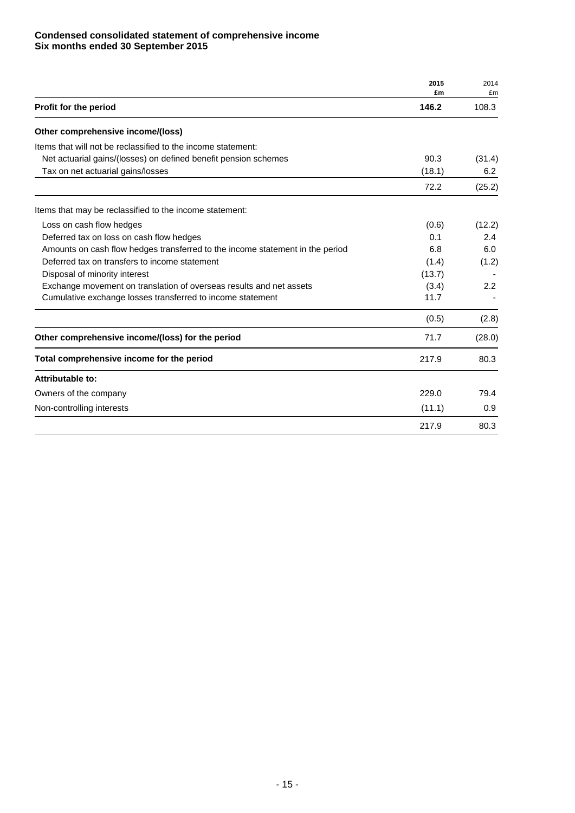### **Condensed consolidated statement of comprehensive income Six months ended 30 September 2015**

|                                                                               | 2015<br>£m | 2014<br>£m       |
|-------------------------------------------------------------------------------|------------|------------------|
| Profit for the period                                                         | 146.2      | 108.3            |
| Other comprehensive income/(loss)                                             |            |                  |
| Items that will not be reclassified to the income statement:                  |            |                  |
| Net actuarial gains/(losses) on defined benefit pension schemes               | 90.3       | (31.4)           |
| Tax on net actuarial gains/losses                                             | (18.1)     | 6.2              |
|                                                                               | 72.2       | (25.2)           |
| Items that may be reclassified to the income statement:                       |            |                  |
| Loss on cash flow hedges                                                      | (0.6)      | (12.2)           |
| Deferred tax on loss on cash flow hedges                                      | 0.1        | 2.4              |
| Amounts on cash flow hedges transferred to the income statement in the period | 6.8        | 6.0              |
| Deferred tax on transfers to income statement                                 | (1.4)      | (1.2)            |
| Disposal of minority interest                                                 | (13.7)     |                  |
| Exchange movement on translation of overseas results and net assets           | (3.4)      | $2.2\phantom{0}$ |
| Cumulative exchange losses transferred to income statement                    | 11.7       |                  |
|                                                                               | (0.5)      | (2.8)            |
| Other comprehensive income/(loss) for the period                              | 71.7       | (28.0)           |
| Total comprehensive income for the period                                     | 217.9      | 80.3             |
| Attributable to:                                                              |            |                  |
| Owners of the company                                                         | 229.0      | 79.4             |
| Non-controlling interests                                                     | (11.1)     | 0.9              |
|                                                                               | 217.9      | 80.3             |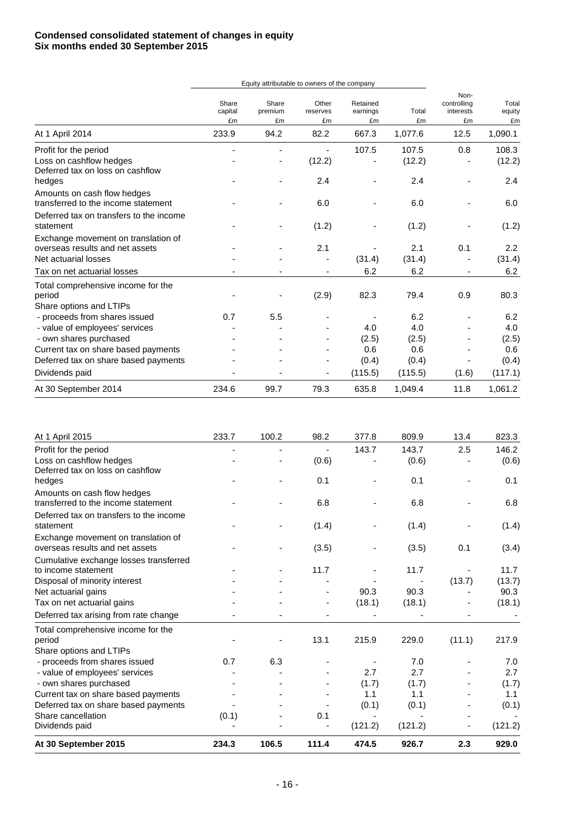|                                                                    |                        | Equity attributable to owners of the company |                         |                            |             |                                        |                       |
|--------------------------------------------------------------------|------------------------|----------------------------------------------|-------------------------|----------------------------|-------------|----------------------------------------|-----------------------|
|                                                                    | Share<br>capital<br>£m | Share<br>premium<br>£m                       | Other<br>reserves<br>£m | Retained<br>earnings<br>£m | Total<br>£m | Non-<br>controlling<br>interests<br>£m | Total<br>equity<br>£m |
| At 1 April 2014                                                    | 233.9                  | 94.2                                         | 82.2                    | 667.3                      | 1,077.6     | 12.5                                   | 1,090.1               |
| Profit for the period                                              |                        |                                              |                         | 107.5                      | 107.5       | 0.8                                    | 108.3                 |
| Loss on cashflow hedges<br>Deferred tax on loss on cashflow        |                        |                                              | (12.2)                  |                            | (12.2)      |                                        | (12.2)                |
| hedges                                                             |                        |                                              | 2.4                     |                            | 2.4         |                                        | 2.4                   |
| Amounts on cash flow hedges<br>transferred to the income statement |                        |                                              | 6.0                     |                            | 6.0         |                                        | 6.0                   |
| Deferred tax on transfers to the income<br>statement               |                        |                                              | (1.2)                   |                            | (1.2)       |                                        | (1.2)                 |
| Exchange movement on translation of                                |                        |                                              |                         |                            |             |                                        |                       |
| overseas results and net assets                                    |                        |                                              | 2.1                     |                            | 2.1         | 0.1                                    | 2.2                   |
| Net actuarial losses                                               |                        |                                              |                         | (31.4)                     | (31.4)      |                                        | (31.4)                |
| Tax on net actuarial losses                                        |                        |                                              |                         | 6.2                        | 6.2         |                                        | 6.2                   |
| Total comprehensive income for the<br>period                       |                        |                                              | (2.9)                   | 82.3                       | 79.4        | 0.9                                    | 80.3                  |
| Share options and LTIPs<br>- proceeds from shares issued           | 0.7                    | 5.5                                          |                         |                            | 6.2         |                                        | 6.2                   |
| - value of employees' services                                     |                        |                                              |                         | 4.0                        | 4.0         |                                        | 4.0                   |
| - own shares purchased                                             |                        |                                              |                         | (2.5)                      | (2.5)       |                                        | (2.5)                 |
| Current tax on share based payments                                |                        |                                              |                         | 0.6                        | 0.6         |                                        | 0.6                   |
| Deferred tax on share based payments                               |                        |                                              |                         | (0.4)                      | (0.4)       |                                        | (0.4)                 |
| Dividends paid                                                     |                        |                                              |                         | (115.5)                    | (115.5)     | (1.6)                                  | (117.1)               |
| At 30 September 2014                                               | 234.6                  | 99.7                                         | 79.3                    | 635.8                      | 1,049.4     | 11.8                                   | 1,061.2               |

| 0.7 | 6.3   |       |              | 7.0                                     |                                                 | 7.0<br>2.7            |
|-----|-------|-------|--------------|-----------------------------------------|-------------------------------------------------|-----------------------|
|     |       |       |              |                                         |                                                 |                       |
|     |       | 13.1  | 215.9        | 229.0                                   | (11.1)                                          | 217.9                 |
|     |       |       |              |                                         |                                                 |                       |
|     |       | ۰     |              |                                         |                                                 | (18.1)                |
|     |       |       |              |                                         |                                                 | 90.3                  |
|     |       |       |              |                                         |                                                 | (13.7)                |
|     |       |       |              |                                         |                                                 | 11.7                  |
|     |       |       |              |                                         |                                                 |                       |
|     |       | (3.5) |              | (3.5)                                   | 0.1                                             | (3.4)                 |
|     |       | (1.4) |              | (1.4)                                   |                                                 | (1.4)                 |
|     |       | 6.8   |              | 6.8                                     |                                                 | 6.8                   |
|     |       | 0.1   |              | 0.1                                     |                                                 | 0.1                   |
|     |       | (0.6) |              | (0.6)                                   |                                                 | (0.6)                 |
|     |       |       |              |                                         |                                                 | 823.3<br>146.2        |
|     | 233.7 | 100.2 | 98.2<br>11.7 | 377.8<br>143.7<br>90.3<br>(18.1)<br>2.7 | 809.9<br>143.7<br>11.7<br>90.3<br>(18.1)<br>2.7 | 13.4<br>2.5<br>(13.7) |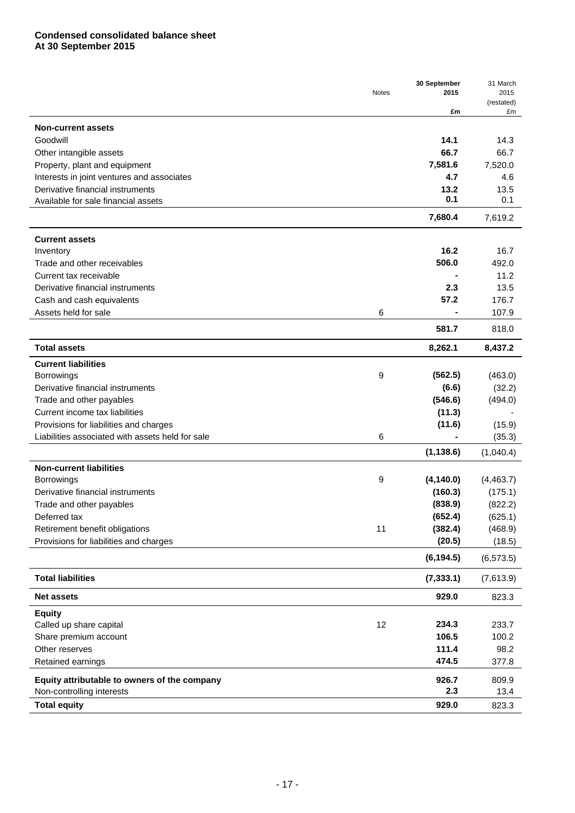|                                                  |       | 30 September | 31 March   |
|--------------------------------------------------|-------|--------------|------------|
|                                                  | Notes | 2015         | 2015       |
|                                                  |       |              | (restated) |
|                                                  |       | £m           | £m         |
| <b>Non-current assets</b>                        |       |              |            |
| Goodwill                                         |       | 14.1         | 14.3       |
| Other intangible assets                          |       | 66.7         | 66.7       |
| Property, plant and equipment                    |       | 7,581.6      | 7,520.0    |
| Interests in joint ventures and associates       |       | 4.7          | 4.6        |
| Derivative financial instruments                 |       | 13.2         | 13.5       |
| Available for sale financial assets              |       | 0.1          | 0.1        |
|                                                  |       | 7,680.4      | 7,619.2    |
| <b>Current assets</b>                            |       |              |            |
| Inventory                                        |       | 16.2         | 16.7       |
| Trade and other receivables                      |       | 506.0        | 492.0      |
|                                                  |       |              | 11.2       |
| Current tax receivable                           |       |              |            |
| Derivative financial instruments                 |       | 2.3          | 13.5       |
| Cash and cash equivalents                        |       | 57.2         | 176.7      |
| Assets held for sale                             | 6     |              | 107.9      |
|                                                  |       | 581.7        | 818.0      |
| <b>Total assets</b>                              |       | 8,262.1      | 8,437.2    |
| <b>Current liabilities</b>                       |       |              |            |
| Borrowings                                       | 9     | (562.5)      | (463.0)    |
| Derivative financial instruments                 |       | (6.6)        | (32.2)     |
| Trade and other payables                         |       | (546.6)      | (494.0)    |
| Current income tax liabilities                   |       | (11.3)       |            |
| Provisions for liabilities and charges           |       | (11.6)       | (15.9)     |
| Liabilities associated with assets held for sale | 6     |              | (35.3)     |
|                                                  |       | (1, 138.6)   | (1,040.4)  |
| <b>Non-current liabilities</b>                   |       |              |            |
| Borrowings                                       | 9     | (4, 140.0)   | (4, 463.7) |
| Derivative financial instruments                 |       | (160.3)      | (175.1)    |
| Trade and other payables                         |       | (838.9)      | (822.2)    |
| Deferred tax                                     |       | (652.4)      | (625.1)    |
|                                                  |       |              |            |
| Retirement benefit obligations                   | 11    | (382.4)      | (468.9)    |
| Provisions for liabilities and charges           |       | (20.5)       | (18.5)     |
|                                                  |       | (6, 194.5)   | (6, 573.5) |
| <b>Total liabilities</b>                         |       | (7, 333.1)   | (7,613.9)  |
| <b>Net assets</b>                                |       | 929.0        | 823.3      |
| <b>Equity</b>                                    |       |              |            |
| Called up share capital                          | 12    | 234.3        | 233.7      |
| Share premium account                            |       | 106.5        | 100.2      |
| Other reserves                                   |       | 111.4        | 98.2       |
| Retained earnings                                |       | 474.5        | 377.8      |
| Equity attributable to owners of the company     |       | 926.7        | 809.9      |
| Non-controlling interests                        |       | 2.3          | 13.4       |
| <b>Total equity</b>                              |       | 929.0        | 823.3      |
|                                                  |       |              |            |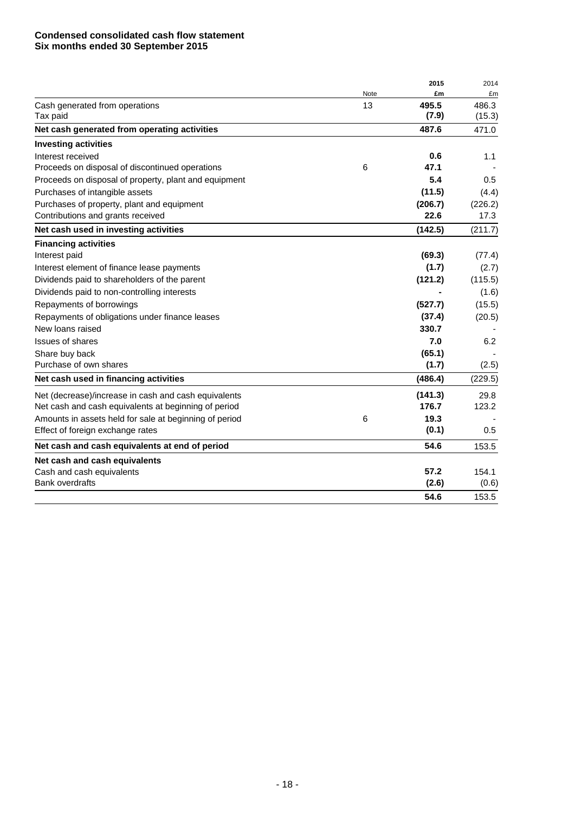### **Condensed consolidated cash flow statement Six months ended 30 September 2015**

|                                                        |      | 2015    | 2014    |
|--------------------------------------------------------|------|---------|---------|
|                                                        | Note | £m      | £m      |
| Cash generated from operations                         | 13   | 495.5   | 486.3   |
| Tax paid                                               |      | (7.9)   | (15.3)  |
| Net cash generated from operating activities           |      | 487.6   | 471.0   |
| <b>Investing activities</b>                            |      |         |         |
| Interest received                                      |      | 0.6     | 1.1     |
| Proceeds on disposal of discontinued operations        | 6    | 47.1    |         |
| Proceeds on disposal of property, plant and equipment  |      | 5.4     | 0.5     |
| Purchases of intangible assets                         |      | (11.5)  | (4.4)   |
| Purchases of property, plant and equipment             |      | (206.7) | (226.2) |
| Contributions and grants received                      |      | 22.6    | 17.3    |
| Net cash used in investing activities                  |      | (142.5) | (211.7) |
| <b>Financing activities</b>                            |      |         |         |
| Interest paid                                          |      | (69.3)  | (77.4)  |
| Interest element of finance lease payments             |      | (1.7)   | (2.7)   |
| Dividends paid to shareholders of the parent           |      | (121.2) | (115.5) |
| Dividends paid to non-controlling interests            |      |         | (1.6)   |
| Repayments of borrowings                               |      | (527.7) | (15.5)  |
| Repayments of obligations under finance leases         |      | (37.4)  | (20.5)  |
| New loans raised                                       |      | 330.7   |         |
| <b>Issues of shares</b>                                |      | 7.0     | 6.2     |
| Share buy back                                         |      | (65.1)  |         |
| Purchase of own shares                                 |      | (1.7)   | (2.5)   |
| Net cash used in financing activities                  |      | (486.4) | (229.5) |
| Net (decrease)/increase in cash and cash equivalents   |      | (141.3) | 29.8    |
| Net cash and cash equivalents at beginning of period   |      | 176.7   | 123.2   |
| Amounts in assets held for sale at beginning of period | 6    | 19.3    |         |
| Effect of foreign exchange rates                       |      | (0.1)   | 0.5     |
| Net cash and cash equivalents at end of period         |      | 54.6    | 153.5   |
| Net cash and cash equivalents                          |      |         |         |
| Cash and cash equivalents                              |      | 57.2    | 154.1   |
| <b>Bank overdrafts</b>                                 |      | (2.6)   | (0.6)   |
|                                                        |      | 54.6    | 153.5   |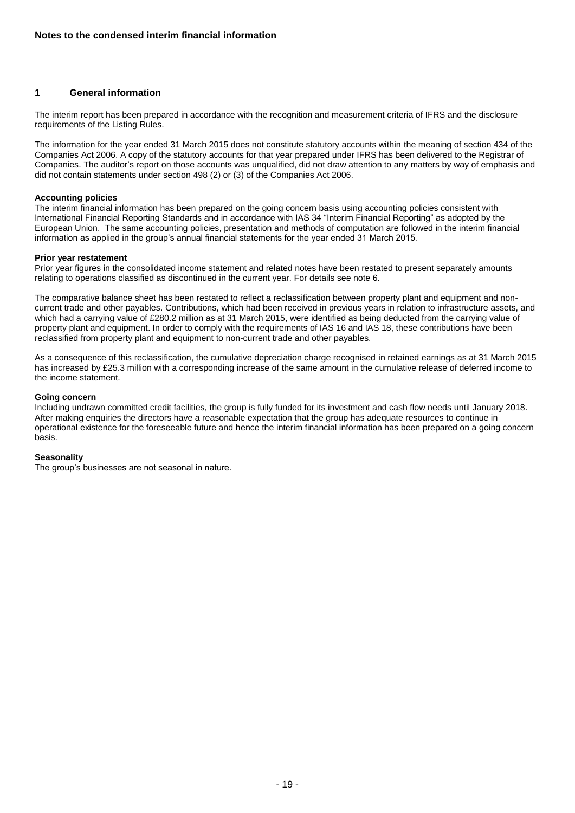### **1 General information**

The interim report has been prepared in accordance with the recognition and measurement criteria of IFRS and the disclosure requirements of the Listing Rules.

The information for the year ended 31 March 2015 does not constitute statutory accounts within the meaning of section 434 of the Companies Act 2006. A copy of the statutory accounts for that year prepared under IFRS has been delivered to the Registrar of Companies. The auditor's report on those accounts was unqualified, did not draw attention to any matters by way of emphasis and did not contain statements under section 498 (2) or (3) of the Companies Act 2006.

#### **Accounting policies**

The interim financial information has been prepared on the going concern basis using accounting policies consistent with International Financial Reporting Standards and in accordance with IAS 34 "Interim Financial Reporting" as adopted by the European Union. The same accounting policies, presentation and methods of computation are followed in the interim financial information as applied in the group's annual financial statements for the year ended 31 March 2015.

#### **Prior year restatement**

Prior year figures in the consolidated income statement and related notes have been restated to present separately amounts relating to operations classified as discontinued in the current year. For details see note 6.

The comparative balance sheet has been restated to reflect a reclassification between property plant and equipment and noncurrent trade and other payables. Contributions, which had been received in previous years in relation to infrastructure assets, and which had a carrying value of £280.2 million as at 31 March 2015, were identified as being deducted from the carrying value of property plant and equipment. In order to comply with the requirements of IAS 16 and IAS 18, these contributions have been reclassified from property plant and equipment to non-current trade and other payables.

As a consequence of this reclassification, the cumulative depreciation charge recognised in retained earnings as at 31 March 2015 has increased by £25.3 million with a corresponding increase of the same amount in the cumulative release of deferred income to the income statement.

#### **Going concern**

Including undrawn committed credit facilities, the group is fully funded for its investment and cash flow needs until January 2018. After making enquiries the directors have a reasonable expectation that the group has adequate resources to continue in operational existence for the foreseeable future and hence the interim financial information has been prepared on a going concern basis.

#### **Seasonality**

The group's businesses are not seasonal in nature.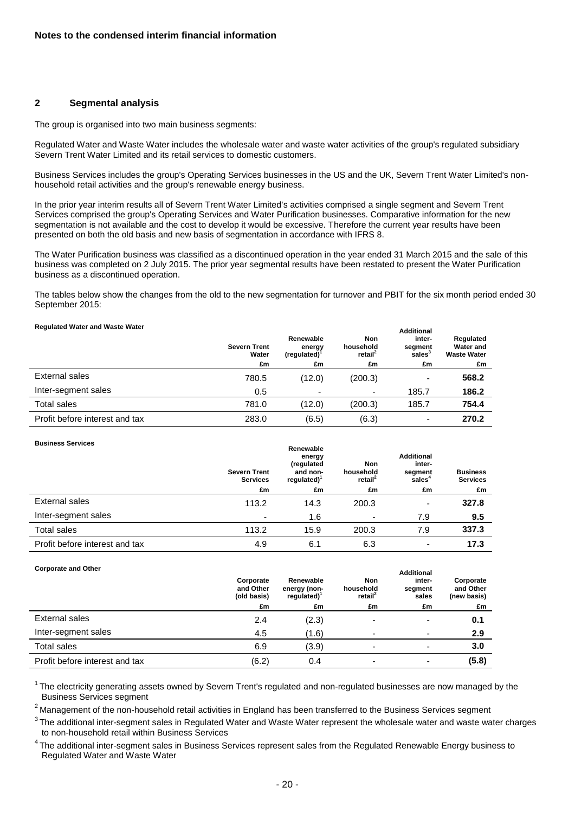#### **2 Segmental analysis**

The group is organised into two main business segments:

Regulated Water and Waste Water includes the wholesale water and waste water activities of the group's regulated subsidiary Severn Trent Water Limited and its retail services to domestic customers.

Business Services includes the group's Operating Services businesses in the US and the UK, Severn Trent Water Limited's nonhousehold retail activities and the group's renewable energy business.

In the prior year interim results all of Severn Trent Water Limited's activities comprised a single segment and Severn Trent Services comprised the group's Operating Services and Water Purification businesses. Comparative information for the new segmentation is not available and the cost to develop it would be excessive. Therefore the current year results have been presented on both the old basis and new basis of segmentation in accordance with IFRS 8.

The Water Purification business was classified as a discontinued operation in the year ended 31 March 2015 and the sale of this business was completed on 2 July 2015. The prior year segmental results have been restated to present the Water Purification business as a discontinued operation.

The tables below show the changes from the old to the new segmentation for turnover and PBIT for the six month period ended 30 September 2015:

#### **Regulated Water and Waste Water**

| <b>Severn Trent</b><br>Water | Renewable<br>energy<br>$(regulated)^T$ | <b>Non</b><br>household<br>retail <sup>2</sup> | inter-<br>segment<br>sales <sup>3</sup> | Regulated<br><b>Water and</b><br><b>Waste Water</b> |
|------------------------------|----------------------------------------|------------------------------------------------|-----------------------------------------|-----------------------------------------------------|
| £m                           | £m                                     | £m                                             | £m                                      | £m                                                  |
| 780.5                        | (12.0)                                 | (200.3)                                        | ٠                                       | 568.2                                               |
| 0.5                          | $\overline{\phantom{0}}$               | -                                              | 185.7                                   | 186.2                                               |
| 781.0                        | (12.0)                                 | (200.3)                                        | 185.7                                   | 754.4                                               |
| 283.0                        | (6.5)                                  | (6.3)                                          | $\overline{\phantom{a}}$                | 270.2                                               |
|                              |                                        |                                                |                                         | <b>Additional</b>                                   |

#### **Business Services**

| <b>BUSINESS SETVICES</b>       | <b>Severn Trent</b><br><b>Services</b> | Renewable<br>energy<br>(regulated<br>and non-<br>$required)$ <sup>1</sup> | Non<br>household<br>retail <sup>2</sup> | <b>Additional</b><br>inter-<br>segment<br>sales <sup>4</sup> | <b>Business</b><br><b>Services</b> |
|--------------------------------|----------------------------------------|---------------------------------------------------------------------------|-----------------------------------------|--------------------------------------------------------------|------------------------------------|
|                                | £m                                     | £m                                                                        | £m                                      | £m                                                           | £m                                 |
| External sales                 | 113.2                                  | 14.3                                                                      | 200.3                                   | ۰                                                            | 327.8                              |
| Inter-segment sales            |                                        | 1.6                                                                       | $\overline{\phantom{0}}$                | 7.9                                                          | 9.5                                |
| <b>Total sales</b>             | 113.2                                  | 15.9                                                                      | 200.3                                   | 7.9                                                          | 337.3                              |
| Profit before interest and tax | 4.9                                    | 6.1                                                                       | 6.3                                     | ٠                                                            | 17.3                               |

#### **Corporate and Other**

| $90.80.000$ and $9.000$        | Corporate<br>and Other<br>(old basis) | Renewable<br>energy (non-<br>$required)$ <sup>1</sup> | Non<br>household<br>retail <sup>2</sup> | <b>Additional</b><br>inter-<br>segment<br>sales | Corporate<br>and Other<br>(new basis) |
|--------------------------------|---------------------------------------|-------------------------------------------------------|-----------------------------------------|-------------------------------------------------|---------------------------------------|
|                                | £m                                    | £m                                                    | £m                                      | £m                                              | £m                                    |
| External sales                 | 2.4                                   | (2.3)                                                 |                                         | -                                               | 0.1                                   |
| Inter-segment sales            | 4.5                                   | (1.6)                                                 | $\overline{\phantom{0}}$                | ٠                                               | 2.9                                   |
| <b>Total sales</b>             | 6.9                                   | (3.9)                                                 | $\overline{\phantom{a}}$                | $\blacksquare$                                  | 3.0                                   |
| Profit before interest and tax | (6.2)                                 | 0.4                                                   |                                         | -                                               | (5.8)                                 |

 $1$ The electricity generating assets owned by Severn Trent's regulated and non-regulated businesses are now managed by the Business Services segment

 $2$  Management of the non-household retail activities in England has been transferred to the Business Services segment

<sup>3</sup>The additional inter-segment sales in Regulated Water and Waste Water represent the wholesale water and waste water charges to non-household retail within Business Services

<sup>4</sup> The additional inter-segment sales in Business Services represent sales from the Regulated Renewable Energy business to Regulated Water and Waste Water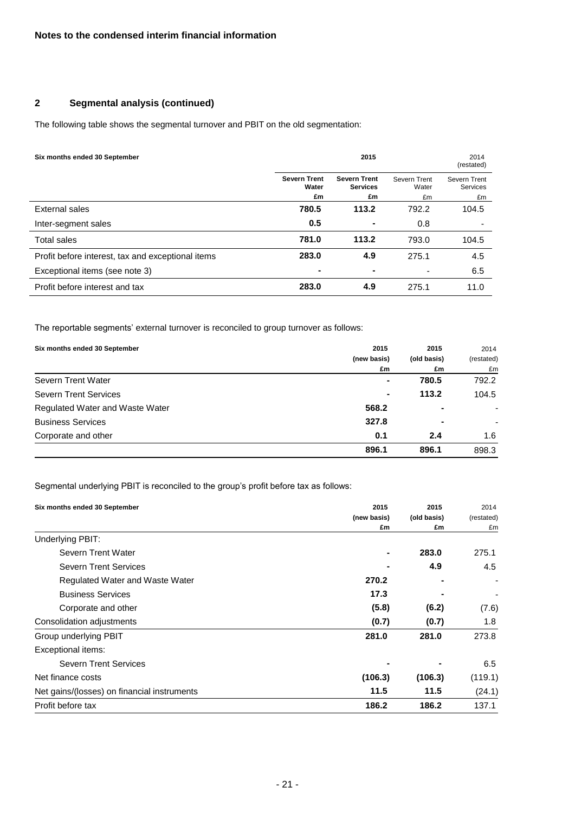# **2 Segmental analysis (continued)**

The following table shows the segmental turnover and PBIT on the old segmentation:

| Six months ended 30 September                     | 2015                         |                                        |                       | 2014<br>(restated)       |
|---------------------------------------------------|------------------------------|----------------------------------------|-----------------------|--------------------------|
|                                                   | <b>Severn Trent</b><br>Water | <b>Severn Trent</b><br><b>Services</b> | Severn Trent<br>Water | Severn Trent<br>Services |
|                                                   | £m                           | £m                                     | £m                    | £m                       |
| External sales                                    | 780.5                        | 113.2                                  | 792.2                 | 104.5                    |
| Inter-segment sales                               | 0.5                          |                                        | 0.8                   |                          |
| <b>Total sales</b>                                | 781.0                        | 113.2                                  | 793.0                 | 104.5                    |
| Profit before interest, tax and exceptional items | 283.0                        | 4.9                                    | 275.1                 | 4.5                      |
| Exceptional items (see note 3)                    |                              |                                        |                       | 6.5                      |
| Profit before interest and tax                    | 283.0                        | 4.9                                    | 275.1                 | 11.0                     |

The reportable segments' external turnover is reconciled to group turnover as follows:

| Six months ended 30 September   | 2015        | 2015           | 2014       |
|---------------------------------|-------------|----------------|------------|
|                                 | (new basis) | (old basis)    | (restated) |
|                                 | £m          | £m             | £m         |
| Severn Trent Water              |             | 780.5          | 792.2      |
| <b>Severn Trent Services</b>    | ۰.          | 113.2          | 104.5      |
| Regulated Water and Waste Water | 568.2       | $\blacksquare$ | ٠          |
| <b>Business Services</b>        | 327.8       | -              |            |
| Corporate and other             | 0.1         | 2.4            | 1.6        |
|                                 | 896.1       | 896.1          | 898.3      |

Segmental underlying PBIT is reconciled to the group's profit before tax as follows:

| Six months ended 30 September               | 2015        | 2015        | 2014       |
|---------------------------------------------|-------------|-------------|------------|
|                                             | (new basis) | (old basis) | (restated) |
|                                             | £m          | £m          | £m         |
| Underlying PBIT:                            |             |             |            |
| Severn Trent Water                          |             | 283.0       | 275.1      |
| <b>Severn Trent Services</b>                |             | 4.9         | 4.5        |
| Regulated Water and Waste Water             | 270.2       |             |            |
| <b>Business Services</b>                    | 17.3        |             |            |
| Corporate and other                         | (5.8)       | (6.2)       | (7.6)      |
| Consolidation adjustments                   | (0.7)       | (0.7)       | 1.8        |
| Group underlying PBIT                       | 281.0       | 281.0       | 273.8      |
| Exceptional items:                          |             |             |            |
| <b>Severn Trent Services</b>                |             |             | 6.5        |
| Net finance costs                           | (106.3)     | (106.3)     | (119.1)    |
| Net gains/(losses) on financial instruments | 11.5        | 11.5        | (24.1)     |
| Profit before tax                           | 186.2       | 186.2       | 137.1      |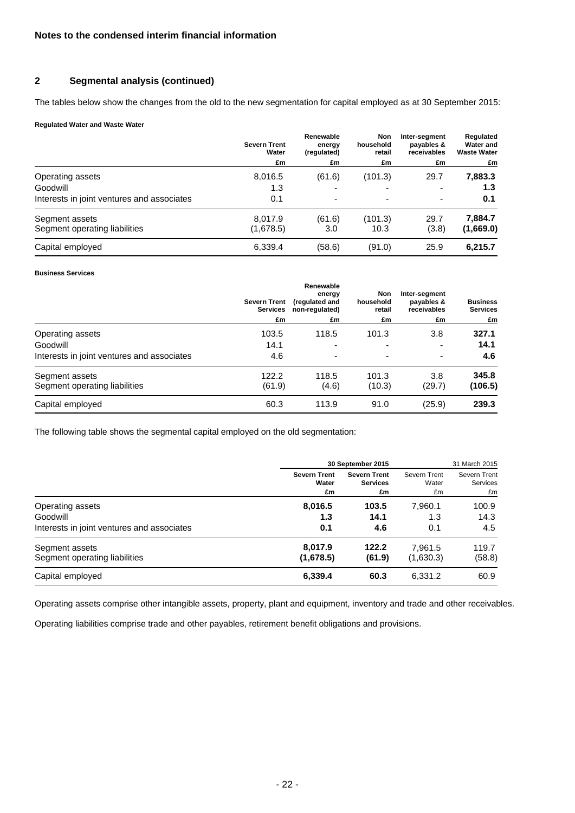### **2 Segmental analysis (continued)**

The tables below show the changes from the old to the new segmentation for capital employed as at 30 September 2015:

#### **Regulated Water and Waste Water**

|                                            | <b>Severn Trent</b><br>Water<br>£m | Renewable<br>energy<br>(regulated) | Non<br>household<br>retail | Inter-seament<br>payables &<br>receivables | Regulated<br>Water and<br><b>Waste Water</b> |
|--------------------------------------------|------------------------------------|------------------------------------|----------------------------|--------------------------------------------|----------------------------------------------|
|                                            |                                    |                                    | £m                         | £m                                         | £m                                           |
| Operating assets                           | 8,016.5                            | (61.6)                             | (101.3)                    | 29.7                                       | 7,883.3                                      |
| Goodwill                                   | 1.3                                | ۰                                  | $\overline{\phantom{0}}$   | ۰                                          | 1.3                                          |
| Interests in joint ventures and associates | 0.1                                | $\overline{\phantom{a}}$           | ۰                          | ٠                                          | 0.1                                          |
| Segment assets                             | 8.017.9                            | (61.6)                             | (101.3)                    | 29.7                                       | 7,884.7                                      |
| Segment operating liabilities              | (1,678.5)                          | 3.0                                | 10.3                       | (3.8)                                      | (1,669.0)                                    |
| Capital employed                           | 6,339.4                            | (58.6)                             | (91.0)                     | 25.9                                       | 6,215.7                                      |

#### **Business Services**

|                                            | <b>Severn Trent</b><br><b>Services</b> | Renewable<br>energy<br>(regulated and<br>non-regulated) | Non<br>household<br>retail | Inter-segment<br>payables &<br>receivables | <b>Business</b><br><b>Services</b> |
|--------------------------------------------|----------------------------------------|---------------------------------------------------------|----------------------------|--------------------------------------------|------------------------------------|
|                                            | £m                                     | £m                                                      | £m                         | £m                                         | £m                                 |
| Operating assets                           | 103.5                                  | 118.5                                                   | 101.3                      | 3.8                                        | 327.1                              |
| Goodwill                                   | 14.1                                   | ٠                                                       |                            | ۰                                          | 14.1                               |
| Interests in joint ventures and associates | 4.6                                    | $\overline{\phantom{a}}$                                | $\overline{\phantom{0}}$   | ۰                                          | 4.6                                |
| Segment assets                             | 122.2                                  | 118.5                                                   | 101.3                      | 3.8                                        | 345.8                              |
| Segment operating liabilities              | (61.9)                                 | (4.6)                                                   | (10.3)                     | (29.7)                                     | (106.5)                            |
| Capital employed                           | 60.3                                   | 113.9                                                   | 91.0                       | (25.9)                                     | 239.3                              |

The following table shows the segmental capital employed on the old segmentation:

|                                            |                     | 30 September 2015   | 31 March 2015 |              |
|--------------------------------------------|---------------------|---------------------|---------------|--------------|
|                                            | <b>Severn Trent</b> | <b>Severn Trent</b> | Severn Trent  | Severn Trent |
|                                            | Water               | <b>Services</b>     | Water         | Services     |
|                                            | £m                  | £m                  | £m            | £m           |
| Operating assets                           | 8,016.5             | 103.5               | 7.960.1       | 100.9        |
| Goodwill                                   | 1.3                 | 14.1                | 1.3           | 14.3         |
| Interests in joint ventures and associates | 0.1                 | 4.6                 | 0.1           | 4.5          |
| Segment assets                             | 8.017.9             | 122.2               | 7.961.5       | 119.7        |
| Segment operating liabilities              | (1,678.5)           | (61.9)              | (1,630.3)     | (58.8)       |
| Capital employed                           | 6,339.4             | 60.3                | 6,331.2       | 60.9         |

Operating assets comprise other intangible assets, property, plant and equipment, inventory and trade and other receivables.

Operating liabilities comprise trade and other payables, retirement benefit obligations and provisions.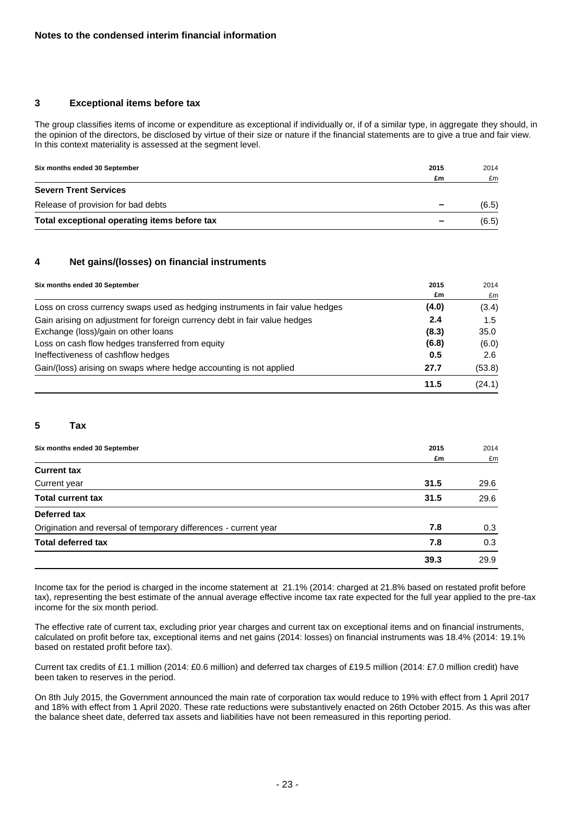#### **3 Exceptional items before tax**

The group classifies items of income or expenditure as exceptional if individually or, if of a similar type, in aggregate they should, in the opinion of the directors, be disclosed by virtue of their size or nature if the financial statements are to give a true and fair view. In this context materiality is assessed at the segment level.

| Six months ended 30 September                | 2015                     | 2014  |
|----------------------------------------------|--------------------------|-------|
|                                              | £m                       | £m    |
| <b>Severn Trent Services</b>                 |                          |       |
| Release of provision for bad debts           | $\sim$                   | (6.5) |
| Total exceptional operating items before tax | $\overline{\phantom{a}}$ | (6.5) |

#### **4 Net gains/(losses) on financial instruments**

| Six months ended 30 September                                                 | 2015  | 2014   |
|-------------------------------------------------------------------------------|-------|--------|
|                                                                               | £m    | £m     |
| Loss on cross currency swaps used as hedging instruments in fair value hedges | (4.0) | (3.4)  |
| Gain arising on adjustment for foreign currency debt in fair value hedges     | 2.4   | 1.5    |
| Exchange (loss)/gain on other loans                                           | (8.3) | 35.0   |
| Loss on cash flow hedges transferred from equity                              | (6.8) | (6.0)  |
| Ineffectiveness of cashflow hedges                                            | 0.5   | 2.6    |
| Gain/(loss) arising on swaps where hedge accounting is not applied            | 27.7  | (53.8) |
|                                                                               | 11.5  | (24.1) |

#### **5 Tax**

| Six months ended 30 September                                    | 2015 | 2014 |
|------------------------------------------------------------------|------|------|
|                                                                  | £m   | £m   |
| <b>Current tax</b>                                               |      |      |
| Current year                                                     | 31.5 | 29.6 |
| <b>Total current tax</b>                                         | 31.5 | 29.6 |
| Deferred tax                                                     |      |      |
| Origination and reversal of temporary differences - current year | 7.8  | 0.3  |
| <b>Total deferred tax</b>                                        | 7.8  | 0.3  |
|                                                                  | 39.3 | 29.9 |

Income tax for the period is charged in the income statement at 21.1% (2014: charged at 21.8% based on restated profit before tax), representing the best estimate of the annual average effective income tax rate expected for the full year applied to the pre-tax income for the six month period.

The effective rate of current tax, excluding prior year charges and current tax on exceptional items and on financial instruments, calculated on profit before tax, exceptional items and net gains (2014: losses) on financial instruments was 18.4% (2014: 19.1% based on restated profit before tax).

Current tax credits of £1.1 million (2014: £0.6 million) and deferred tax charges of £19.5 million (2014: £7.0 million credit) have been taken to reserves in the period.

On 8th July 2015, the Government announced the main rate of corporation tax would reduce to 19% with effect from 1 April 2017 and 18% with effect from 1 April 2020. These rate reductions were substantively enacted on 26th October 2015. As this was after the balance sheet date, deferred tax assets and liabilities have not been remeasured in this reporting period.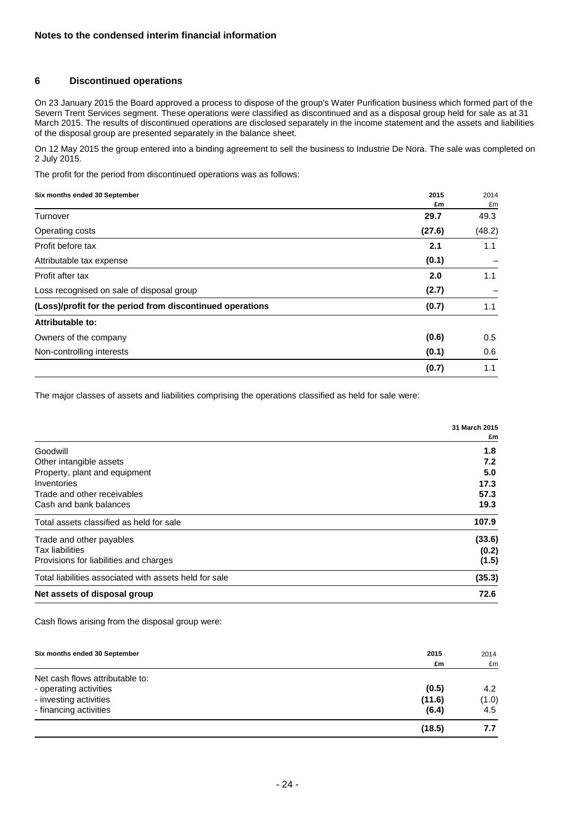### **6 Discontinued operations**

On 23 January 2015 the Board approved a process to dispose of the group's Water Purification business which formed part of the Severn Trent Services segment. These operations were classified as discontinued and as a disposal group held for sale as at 31 March 2015. The results of discontinued operations are disclosed separately in the income statement and the assets and liabilities of the disposal group are presented separately in the balance sheet.

On 12 May 2015 the group entered into a binding agreement to sell the business to Industrie De Nora. The sale was completed on 2 July 2015.

The profit for the period from discontinued operations was as follows:

#### **Six months ended 30 September 2015** 2014

|                                                           | £m     | £m     |
|-----------------------------------------------------------|--------|--------|
| Turnover                                                  | 29.7   | 49.3   |
| Operating costs                                           | (27.6) | (48.2) |
| Profit before tax                                         | 2.1    | 1.1    |
| Attributable tax expense                                  | (0.1)  |        |
| Profit after tax                                          | 2.0    | 1.1    |
| Loss recognised on sale of disposal group                 | (2.7)  |        |
| (Loss)/profit for the period from discontinued operations | (0.7)  | 1.1    |
| Attributable to:                                          |        |        |
| Owners of the company                                     | (0.6)  | 0.5    |
| Non-controlling interests                                 | (0.1)  | 0.6    |
|                                                           | (0.7)  | 1.1    |

The major classes of assets and liabilities comprising the operations classified as held for sale were:

|                                                        | 31 March 2015<br>£m |
|--------------------------------------------------------|---------------------|
| Goodwill                                               | 1.8                 |
| Other intangible assets                                | 7.2                 |
| Property, plant and equipment                          | 5.0                 |
| Inventories                                            | 17.3                |
| Trade and other receivables                            | 57.3                |
| Cash and bank balances                                 | 19.3                |
| Total assets classified as held for sale               | 107.9               |
| Trade and other payables                               | (33.6)              |
| <b>Tax liabilities</b>                                 | (0.2)               |
| Provisions for liabilities and charges                 | (1.5)               |
| Total liabilities associated with assets held for sale | (35.3)              |
| Net assets of disposal group                           | 72.6                |

Cash flows arising from the disposal group were:

| Six months ended 30 September   | 2015   | 2014  |
|---------------------------------|--------|-------|
|                                 | £m     | £m    |
| Net cash flows attributable to: |        |       |
| - operating activities          | (0.5)  | 4.2   |
| - investing activities          | (11.6) | (1.0) |
| - financing activities          | (6.4)  | 4.5   |
|                                 | (18.5) | 7.7   |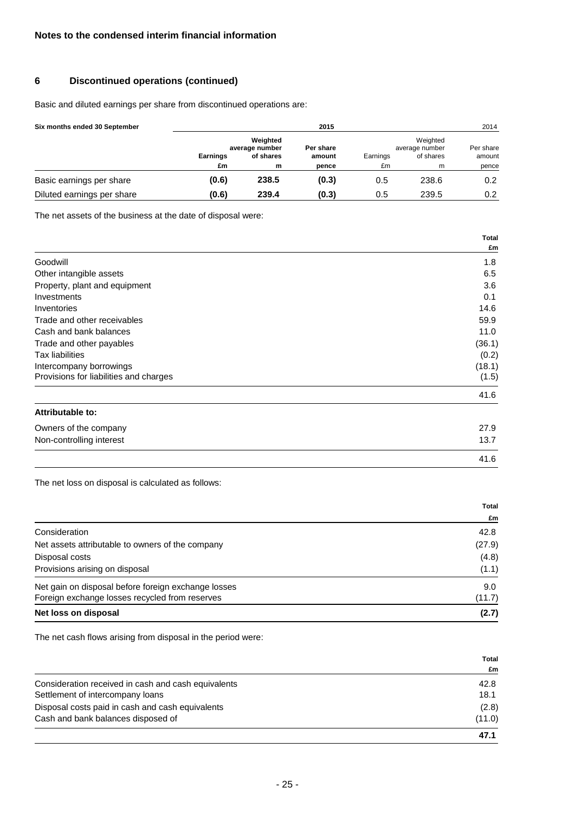### **6 Discontinued operations (continued)**

Basic and diluted earnings per share from discontinued operations are:

| Six months ended 30 September | 2015            |                                         |                     |          | 2014                                    |                     |
|-------------------------------|-----------------|-----------------------------------------|---------------------|----------|-----------------------------------------|---------------------|
|                               | <b>Earnings</b> | Weighted<br>average number<br>of shares | Per share<br>amount | Earnings | Weighted<br>average number<br>of shares | Per share<br>amount |
|                               | £m              | m                                       | pence               | £m       | m                                       | pence               |
| Basic earnings per share      | (0.6)           | 238.5                                   | (0.3)               | 0.5      | 238.6                                   | 0.2                 |
| Diluted earnings per share    | (0.6)           | 239.4                                   | (0.3)               | 0.5      | 239.5                                   | 0.2                 |

The net assets of the business at the date of disposal were:

|                                        | Total  |
|----------------------------------------|--------|
|                                        | £m     |
| Goodwill                               | 1.8    |
| Other intangible assets                | 6.5    |
| Property, plant and equipment          | 3.6    |
| Investments                            | 0.1    |
| Inventories                            | 14.6   |
| Trade and other receivables            | 59.9   |
| Cash and bank balances                 | 11.0   |
| Trade and other payables               | (36.1) |
| Tax liabilities                        | (0.2)  |
| Intercompany borrowings                | (18.1) |
| Provisions for liabilities and charges | (1.5)  |
|                                        | 41.6   |
| Attributable to:                       |        |
| Owners of the company                  | 27.9   |
| Non-controlling interest               | 13.7   |

The net loss on disposal is calculated as follows:

|                                                     | Total  |
|-----------------------------------------------------|--------|
|                                                     | £m     |
| Consideration                                       | 42.8   |
| Net assets attributable to owners of the company    | (27.9) |
| Disposal costs                                      | (4.8)  |
| Provisions arising on disposal                      | (1.1)  |
| Net gain on disposal before foreign exchange losses | 9.0    |
| Foreign exchange losses recycled from reserves      | (11.7) |
| Net loss on disposal                                | (2.7)  |

41.6

The net cash flows arising from disposal in the period were:

|                                                     | <b>Total</b> |
|-----------------------------------------------------|--------------|
|                                                     | £m           |
| Consideration received in cash and cash equivalents | 42.8         |
| Settlement of intercompany loans                    | 18.1         |
| Disposal costs paid in cash and cash equivalents    | (2.8)        |
| Cash and bank balances disposed of                  | (11.0)       |
|                                                     | 47.1         |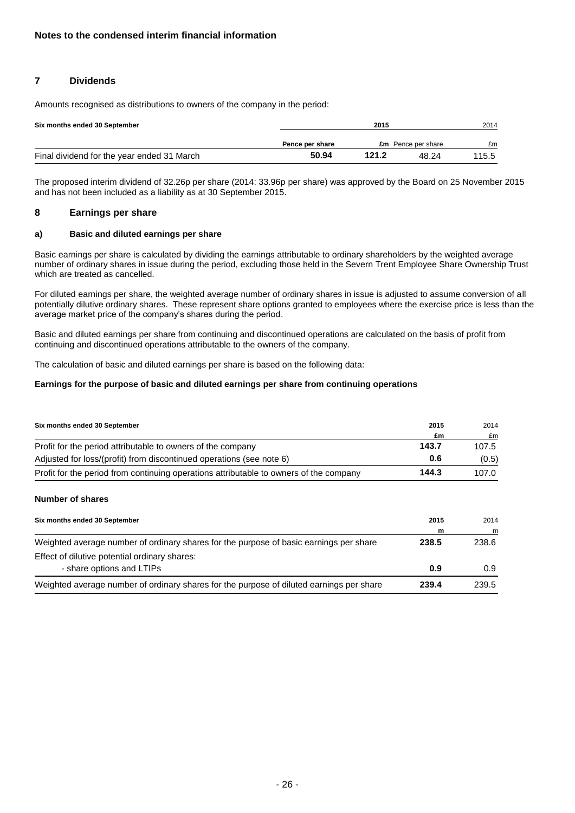### **7 Dividends**

Amounts recognised as distributions to owners of the company in the period:

| Six months ended 30 September              |                 | 2015  |                           |       |
|--------------------------------------------|-----------------|-------|---------------------------|-------|
|                                            | Pence per share |       | <b>£m</b> Pence per share | £m    |
| Final dividend for the year ended 31 March | 50.94           | 121.2 | 48.24                     | 115.5 |

The proposed interim dividend of 32.26p per share (2014: 33.96p per share) was approved by the Board on 25 November 2015 and has not been included as a liability as at 30 September 2015.

#### **8 Earnings per share**

#### **a) Basic and diluted earnings per share**

Basic earnings per share is calculated by dividing the earnings attributable to ordinary shareholders by the weighted average number of ordinary shares in issue during the period, excluding those held in the Severn Trent Employee Share Ownership Trust which are treated as cancelled.

For diluted earnings per share, the weighted average number of ordinary shares in issue is adjusted to assume conversion of all potentially dilutive ordinary shares. These represent share options granted to employees where the exercise price is less than the average market price of the company's shares during the period.

Basic and diluted earnings per share from continuing and discontinued operations are calculated on the basis of profit from continuing and discontinued operations attributable to the owners of the company.

The calculation of basic and diluted earnings per share is based on the following data:

#### **Earnings for the purpose of basic and diluted earnings per share from continuing operations**

| Six months ended 30 September                                                          | 2015  | 2014  |
|----------------------------------------------------------------------------------------|-------|-------|
|                                                                                        | £m    | £m    |
| Profit for the period attributable to owners of the company                            | 143.7 | 107.5 |
| Adjusted for loss/(profit) from discontinued operations (see note 6)                   | 0.6   | (0.5) |
| Profit for the period from continuing operations attributable to owners of the company | 144.3 | 107.0 |

#### **Number of shares**

| Six months ended 30 September                                                            | 2015  | 2014  |
|------------------------------------------------------------------------------------------|-------|-------|
|                                                                                          | m     | m     |
| Weighted average number of ordinary shares for the purpose of basic earnings per share   | 238.5 | 238.6 |
| Effect of dilutive potential ordinary shares:                                            |       |       |
| - share options and LTIPs                                                                | 0.9   | 0.9   |
| Weighted average number of ordinary shares for the purpose of diluted earnings per share | 239.4 | 239.5 |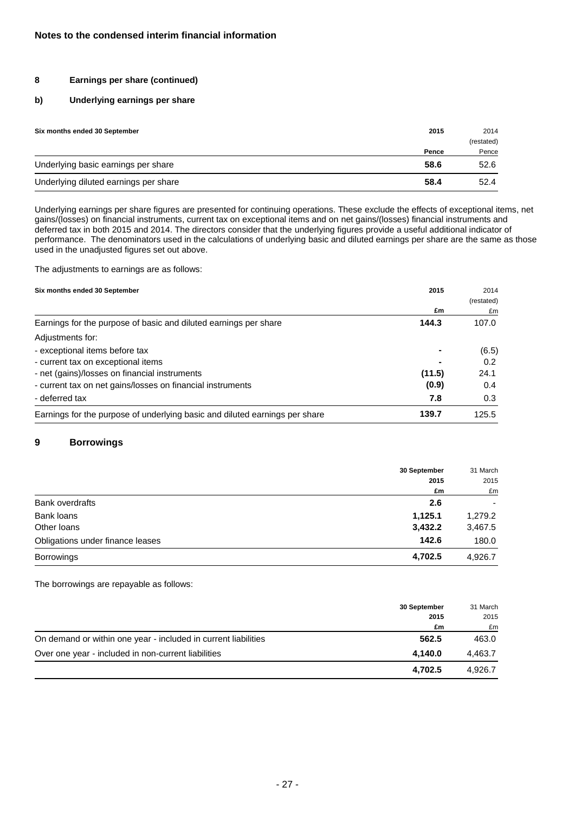### **8 Earnings per share (continued)**

#### **b) Underlying earnings per share**

| Six months ended 30 September         | 2015  | 2014       |  |
|---------------------------------------|-------|------------|--|
|                                       |       | (restated) |  |
|                                       | Pence | Pence      |  |
| Underlying basic earnings per share   | 58.6  | 52.6       |  |
| Underlying diluted earnings per share | 58.4  | 52.4       |  |

Underlying earnings per share figures are presented for continuing operations. These exclude the effects of exceptional items, net gains/(losses) on financial instruments, current tax on exceptional items and on net gains/(losses) financial instruments and deferred tax in both 2015 and 2014. The directors consider that the underlying figures provide a useful additional indicator of performance. The denominators used in the calculations of underlying basic and diluted earnings per share are the same as those used in the unadjusted figures set out above.

The adjustments to earnings are as follows:

| Six months ended 30 September                                               | 2015   | 2014       |
|-----------------------------------------------------------------------------|--------|------------|
|                                                                             |        | (restated) |
|                                                                             | £m     | £m         |
| Earnings for the purpose of basic and diluted earnings per share            | 144.3  | 107.0      |
| Adjustments for:                                                            |        |            |
| - exceptional items before tax                                              |        | (6.5)      |
| - current tax on exceptional items                                          |        | 0.2        |
| - net (gains)/losses on financial instruments                               | (11.5) | 24.1       |
| - current tax on net gains/losses on financial instruments                  | (0.9)  | 0.4        |
| - deferred tax                                                              | 7.8    | 0.3        |
| Earnings for the purpose of underlying basic and diluted earnings per share | 139.7  | 125.5      |

### **9 Borrowings**

|                                  | 30 September | 31 March<br>2015<br>£m |
|----------------------------------|--------------|------------------------|
|                                  | 2015         |                        |
|                                  | £m           |                        |
| <b>Bank overdrafts</b>           | 2.6          | ۰                      |
| Bank loans                       | 1,125.1      | 1,279.2                |
| Other loans                      | 3,432.2      | 3,467.5                |
| Obligations under finance leases | 142.6        | 180.0                  |
| <b>Borrowings</b>                | 4,702.5      | 4,926.7                |

The borrowings are repayable as follows:

|                                                                | 30 September | 31 March |
|----------------------------------------------------------------|--------------|----------|
|                                                                | 2015         | 2015     |
|                                                                | £m           | £m       |
| On demand or within one year - included in current liabilities | 562.5        | 463.0    |
| Over one year - included in non-current liabilities            | 4.140.0      | 4.463.7  |
|                                                                | 4.702.5      | 4.926.7  |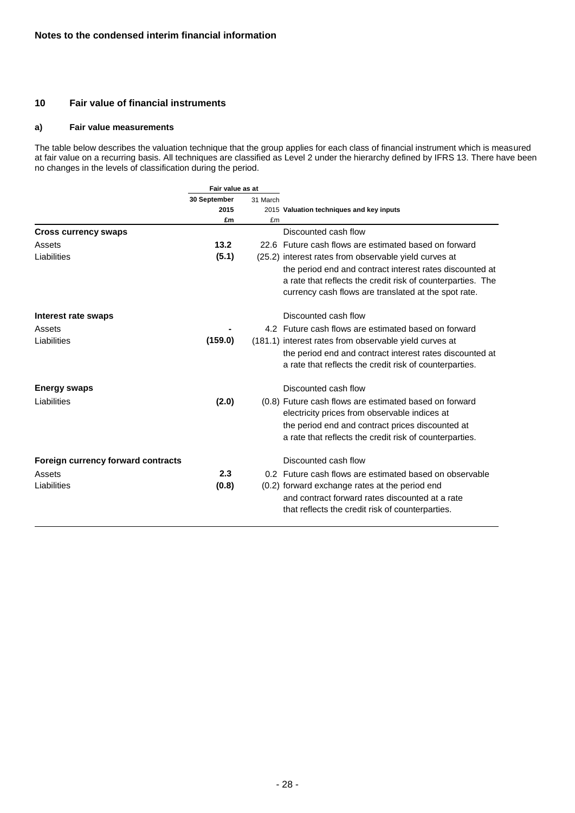#### **10 Fair value of financial instruments**

#### **a) Fair value measurements**

The table below describes the valuation technique that the group applies for each class of financial instrument which is measured at fair value on a recurring basis. All techniques are classified as Level 2 under the hierarchy defined by IFRS 13. There have been no changes in the levels of classification during the period.

|                                    | Fair value as at |          |                                                                                                                                                                                                                        |  |
|------------------------------------|------------------|----------|------------------------------------------------------------------------------------------------------------------------------------------------------------------------------------------------------------------------|--|
|                                    | 30 September     | 31 March |                                                                                                                                                                                                                        |  |
|                                    | 2015             |          | 2015 Valuation techniques and key inputs                                                                                                                                                                               |  |
|                                    | £m               | £m       |                                                                                                                                                                                                                        |  |
| <b>Cross currency swaps</b>        |                  |          | Discounted cash flow                                                                                                                                                                                                   |  |
| Assets                             | 13.2             |          | 22.6 Future cash flows are estimated based on forward                                                                                                                                                                  |  |
| Liabilities                        | (5.1)            |          | (25.2) interest rates from observable yield curves at                                                                                                                                                                  |  |
|                                    |                  |          | the period end and contract interest rates discounted at<br>a rate that reflects the credit risk of counterparties. The<br>currency cash flows are translated at the spot rate.                                        |  |
| Interest rate swaps                |                  |          | Discounted cash flow                                                                                                                                                                                                   |  |
| Assets                             |                  |          | 4.2 Future cash flows are estimated based on forward                                                                                                                                                                   |  |
| Liabilities                        | (159.0)          |          | (181.1) interest rates from observable yield curves at                                                                                                                                                                 |  |
|                                    |                  |          | the period end and contract interest rates discounted at<br>a rate that reflects the credit risk of counterparties.                                                                                                    |  |
| <b>Energy swaps</b>                |                  |          | Discounted cash flow                                                                                                                                                                                                   |  |
| Liabilities                        | (2.0)            |          | (0.8) Future cash flows are estimated based on forward<br>electricity prices from observable indices at<br>the period end and contract prices discounted at<br>a rate that reflects the credit risk of counterparties. |  |
| Foreign currency forward contracts |                  |          | Discounted cash flow                                                                                                                                                                                                   |  |
| Assets                             | 2.3              |          | 0.2 Future cash flows are estimated based on observable                                                                                                                                                                |  |
| Liabilities                        | (0.8)            |          | (0.2) forward exchange rates at the period end<br>and contract forward rates discounted at a rate<br>that reflects the credit risk of counterparties.                                                                  |  |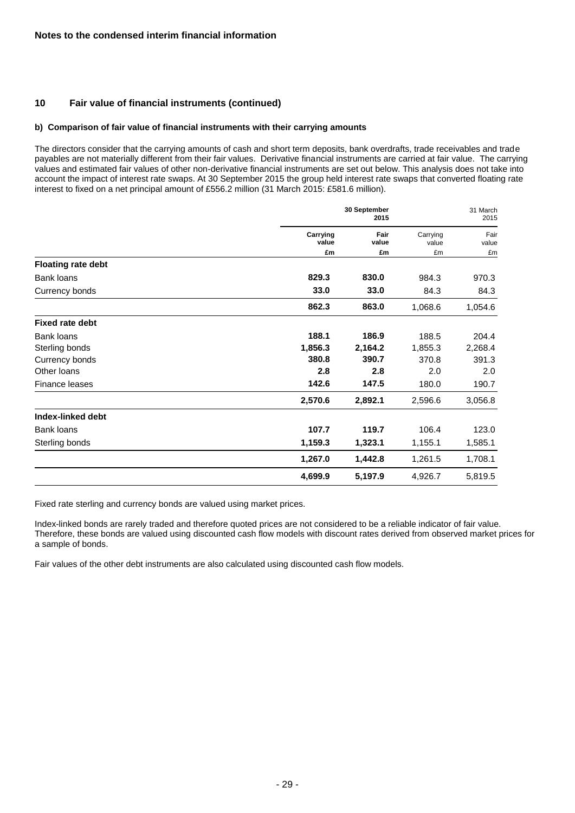### **10 Fair value of financial instruments (continued)**

#### **b) Comparison of fair value of financial instruments with their carrying amounts**

The directors consider that the carrying amounts of cash and short term deposits, bank overdrafts, trade receivables and trade payables are not materially different from their fair values. Derivative financial instruments are carried at fair value. The carrying values and estimated fair values of other non-derivative financial instruments are set out below. This analysis does not take into account the impact of interest rate swaps. At 30 September 2015 the group held interest rate swaps that converted floating rate interest to fixed on a net principal amount of £556.2 million (31 March 2015: £581.6 million).

|                           |                   | 30 September<br>2015 |                   | 31 March<br>2015 |
|---------------------------|-------------------|----------------------|-------------------|------------------|
|                           | Carrying<br>value | Fair<br>value        | Carrying<br>value | Fair<br>value    |
|                           | £m                | £m                   | £m                | £m               |
| <b>Floating rate debt</b> |                   |                      |                   |                  |
| Bank loans                | 829.3             | 830.0                | 984.3             | 970.3            |
| Currency bonds            | 33.0              | 33.0                 | 84.3              | 84.3             |
|                           | 862.3             | 863.0                | 1,068.6           | 1,054.6          |
| <b>Fixed rate debt</b>    |                   |                      |                   |                  |
| <b>Bank loans</b>         | 188.1             | 186.9                | 188.5             | 204.4            |
| Sterling bonds            | 1,856.3           | 2,164.2              | 1,855.3           | 2,268.4          |
| Currency bonds            | 380.8             | 390.7                | 370.8             | 391.3            |
| Other loans               | 2.8               | 2.8                  | 2.0               | 2.0              |
| Finance leases            | 142.6             | 147.5                | 180.0             | 190.7            |
|                           | 2,570.6           | 2,892.1              | 2,596.6           | 3,056.8          |
| Index-linked debt         |                   |                      |                   |                  |
| Bank loans                | 107.7             | 119.7                | 106.4             | 123.0            |
| Sterling bonds            | 1,159.3           | 1,323.1              | 1,155.1           | 1,585.1          |
|                           | 1,267.0           | 1,442.8              | 1,261.5           | 1,708.1          |
|                           | 4,699.9           | 5,197.9              | 4,926.7           | 5,819.5          |

Fixed rate sterling and currency bonds are valued using market prices.

Index-linked bonds are rarely traded and therefore quoted prices are not considered to be a reliable indicator of fair value. Therefore, these bonds are valued using discounted cash flow models with discount rates derived from observed market prices for a sample of bonds.

Fair values of the other debt instruments are also calculated using discounted cash flow models.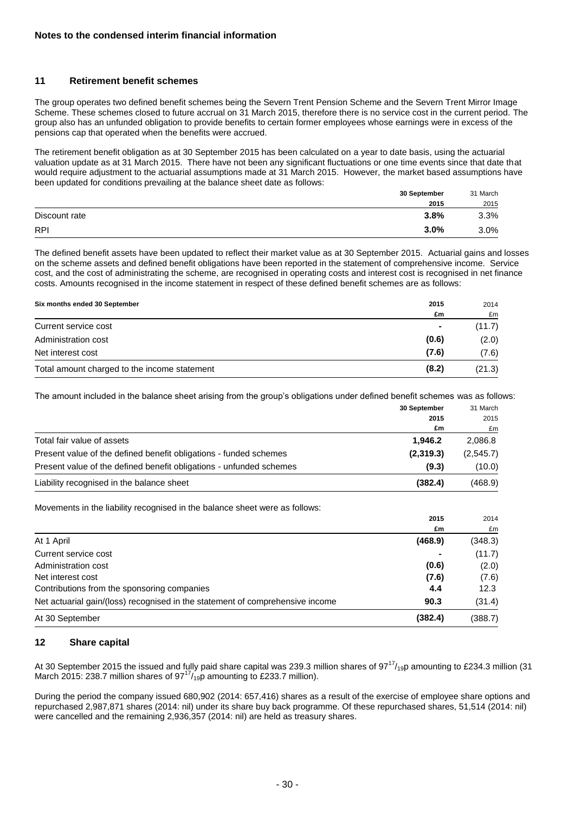### **11 Retirement benefit schemes**

The group operates two defined benefit schemes being the Severn Trent Pension Scheme and the Severn Trent Mirror Image Scheme. These schemes closed to future accrual on 31 March 2015, therefore there is no service cost in the current period. The group also has an unfunded obligation to provide benefits to certain former employees whose earnings were in excess of the pensions cap that operated when the benefits were accrued.

The retirement benefit obligation as at 30 September 2015 has been calculated on a year to date basis, using the actuarial valuation update as at 31 March 2015. There have not been any significant fluctuations or one time events since that date that would require adjustment to the actuarial assumptions made at 31 March 2015. However, the market based assumptions have been updated for conditions prevailing at the balance sheet date as follows:

|               | 30 September | 31 March |
|---------------|--------------|----------|
|               | 2015         | 2015     |
| Discount rate | 3.8%         | 3.3%     |
| <b>RPI</b>    | $3.0\%$      | 3.0%     |

The defined benefit assets have been updated to reflect their market value as at 30 September 2015. Actuarial gains and losses on the scheme assets and defined benefit obligations have been reported in the statement of comprehensive income. Service cost, and the cost of administrating the scheme, are recognised in operating costs and interest cost is recognised in net finance costs. Amounts recognised in the income statement in respect of these defined benefit schemes are as follows:

| Six months ended 30 September                | 2015           | 2014   |
|----------------------------------------------|----------------|--------|
|                                              | £m             | £m     |
| Current service cost                         | $\blacksquare$ | (11.7) |
| Administration cost                          | (0.6)          | (2.0)  |
| Net interest cost                            | (7.6)          | (7.6)  |
| Total amount charged to the income statement | (8.2)          | (21.3) |

The amount included in the balance sheet arising from the group's obligations under defined benefit schemes was as follows:

| 30 September                                                                   | 31 March  |
|--------------------------------------------------------------------------------|-----------|
| 2015                                                                           | 2015      |
| £m                                                                             | £m        |
| 1.946.2<br>Total fair value of assets                                          | 2,086.8   |
| (2,319.3)<br>Present value of the defined benefit obligations - funded schemes | (2,545.7) |
| (9.3)<br>Present value of the defined benefit obligations - unfunded schemes   | (10.0)    |
| Liability recognised in the balance sheet<br>(382.4)                           | (468.9)   |

Movements in the liability recognised in the balance sheet were as follows:

|                                                                               | 2015    | 2014    |
|-------------------------------------------------------------------------------|---------|---------|
|                                                                               | £m      | £m      |
| At 1 April                                                                    | (468.9) | (348.3) |
| Current service cost                                                          |         | (11.7)  |
| Administration cost                                                           | (0.6)   | (2.0)   |
| Net interest cost                                                             | (7.6)   | (7.6)   |
| Contributions from the sponsoring companies                                   | 4.4     | 12.3    |
| Net actuarial gain/(loss) recognised in the statement of comprehensive income | 90.3    | (31.4)  |
| At 30 September                                                               | (382.4) | (388.7) |

### **12 Share capital**

At 30 September 2015 the issued and fully paid share capital was 239.3 million shares of  $97^{17}/_{19}$ p amounting to £234.3 million (31) March 2015: 238.7 million shares of  $97^{17}/_{19}p$  amounting to £233.7 million).

During the period the company issued 680,902 (2014: 657,416) shares as a result of the exercise of employee share options and repurchased 2,987,871 shares (2014: nil) under its share buy back programme. Of these repurchased shares, 51,514 (2014: nil) were cancelled and the remaining 2,936,357 (2014: nil) are held as treasury shares.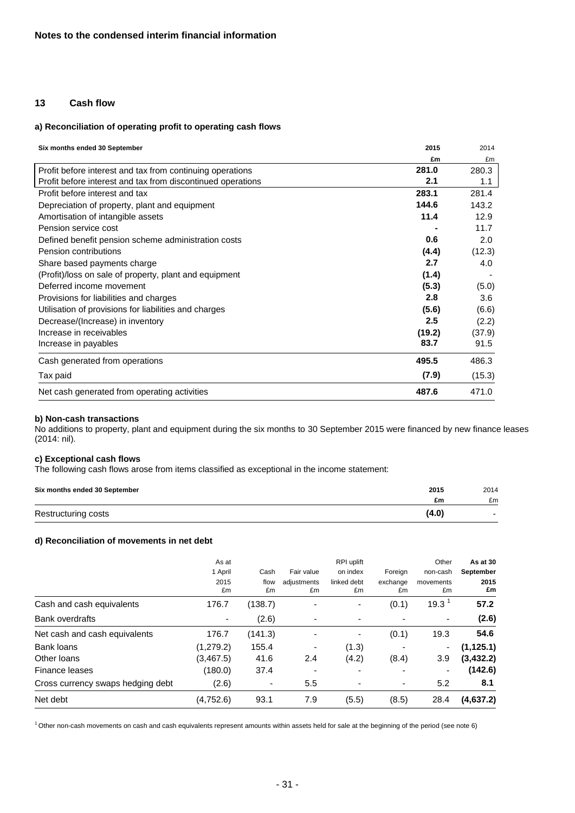### **13 Cash flow**

#### **a) Reconciliation of operating profit to operating cash flows**

| Six months ended 30 September                               | 2015   | 2014   |
|-------------------------------------------------------------|--------|--------|
|                                                             | £m     | £m     |
| Profit before interest and tax from continuing operations   | 281.0  | 280.3  |
| Profit before interest and tax from discontinued operations | 2.1    | 1.1    |
| Profit before interest and tax                              | 283.1  | 281.4  |
| Depreciation of property, plant and equipment               | 144.6  | 143.2  |
| Amortisation of intangible assets                           | 11.4   | 12.9   |
| Pension service cost                                        |        | 11.7   |
| Defined benefit pension scheme administration costs         | 0.6    | 2.0    |
| Pension contributions                                       | (4.4)  | (12.3) |
| Share based payments charge                                 | 2.7    | 4.0    |
| (Profit)/loss on sale of property, plant and equipment      | (1.4)  |        |
| Deferred income movement                                    | (5.3)  | (5.0)  |
| Provisions for liabilities and charges                      | 2.8    | 3.6    |
| Utilisation of provisions for liabilities and charges       | (5.6)  | (6.6)  |
| Decrease/(Increase) in inventory                            | 2.5    | (2.2)  |
| Increase in receivables                                     | (19.2) | (37.9) |
| Increase in payables                                        | 83.7   | 91.5   |
| Cash generated from operations                              | 495.5  | 486.3  |
| Tax paid                                                    | (7.9)  | (15.3) |
| Net cash generated from operating activities                | 487.6  | 471.0  |

#### **b) Non-cash transactions**

No additions to property, plant and equipment during the six months to 30 September 2015 were financed by new finance leases (2014: nil).

# **c) Exceptional cash flows**

The following cash flows arose from items classified as exceptional in the income statement:

| Six months ended 30 September | 2015  | 2014 |
|-------------------------------|-------|------|
|                               | £m    | £m   |
| Restructuring costs           | (4.0) |      |

#### **d) Reconciliation of movements in net debt**

| As at      |            |                   | RPI uplift        |                | Other             | As at 30   |
|------------|------------|-------------------|-------------------|----------------|-------------------|------------|
| 1 April    | Cash       | Fair value        | on index          | Foreign        | non-cash          | September  |
| 2015<br>£m | flow<br>£m | adjustments<br>£m | linked debt<br>£m | exchange<br>£m | movements<br>£m   | 2015<br>£m |
| 176.7      | (138.7)    |                   | ۰                 | (0.1)          | 19.3 <sup>1</sup> | 57.2       |
|            | (2.6)      | ٠                 | ٠                 |                | ۰                 | (2.6)      |
| 176.7      | (141.3)    |                   | ٠                 | (0.1)          | 19.3              | 54.6       |
| (1,279.2)  | 155.4      | ٠                 | (1.3)             |                | ٠                 | (1, 125.1) |
| (3,467.5)  | 41.6       | 2.4               | (4.2)             | (8.4)          | 3.9               | (3, 432.2) |
| (180.0)    | 37.4       | ٠                 | ٠                 |                | ۰                 | (142.6)    |
| (2.6)      | ٠          | 5.5               | ٠                 |                | 5.2               | 8.1        |
| (4,752.6)  | 93.1       | 7.9               | (5.5)             | (8.5)          | 28.4              | (4,637.2)  |
|            |            |                   |                   |                |                   |            |

<sup>1</sup>Other non-cash movements on cash and cash equivalents represent amounts within assets held for sale at the beginning of the period (see note 6)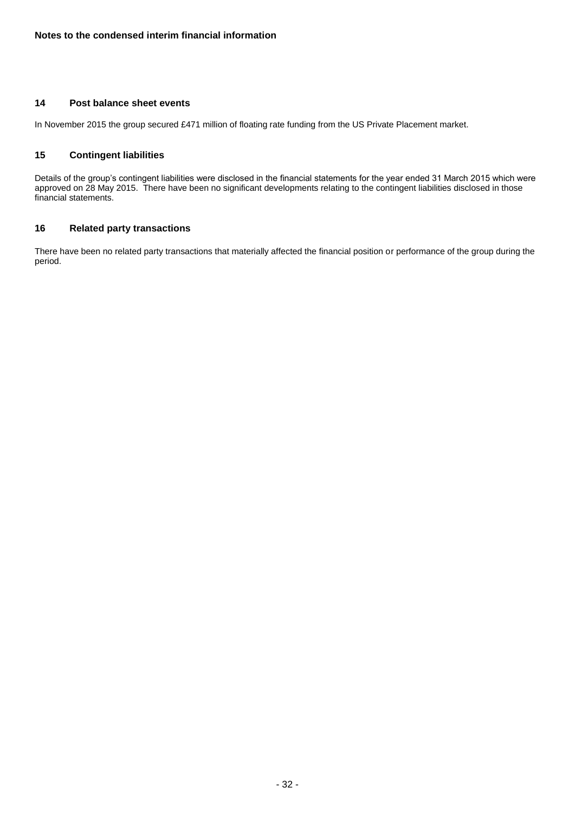#### **14 Post balance sheet events**

In November 2015 the group secured £471 million of floating rate funding from the US Private Placement market.

### **15 Contingent liabilities**

Details of the group's contingent liabilities were disclosed in the financial statements for the year ended 31 March 2015 which were approved on 28 May 2015. There have been no significant developments relating to the contingent liabilities disclosed in those financial statements.

### **16 Related party transactions**

There have been no related party transactions that materially affected the financial position or performance of the group during the period.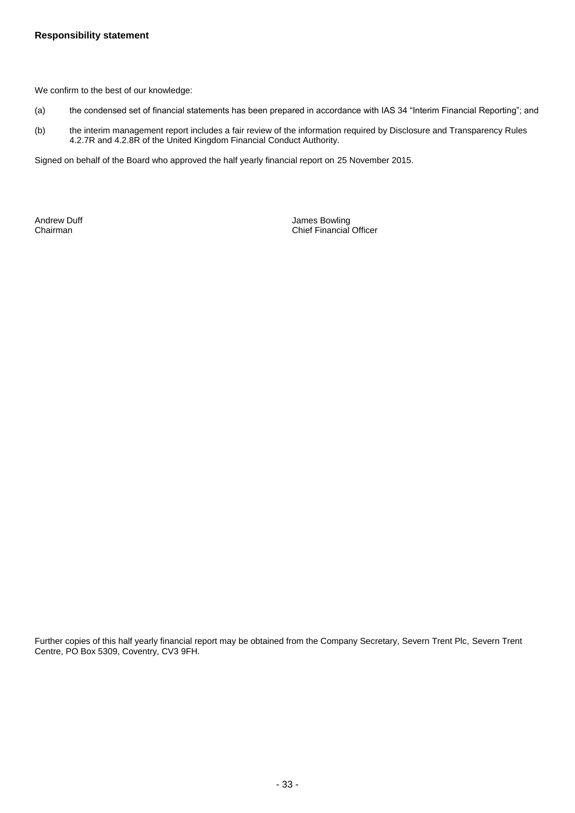We confirm to the best of our knowledge:

- (a) the condensed set of financial statements has been prepared in accordance with IAS 34 "Interim Financial Reporting"; and
- (b) the interim management report includes a fair review of the information required by Disclosure and Transparency Rules 4.2.7R and 4.2.8R of the United Kingdom Financial Conduct Authority.

Signed on behalf of the Board who approved the half yearly financial report on 25 November 2015.

Andrew Duff **Andrew Duff Andrew Duff** James Bowling Andrew Duff **James Bowling** Chairman Chief Financial Officer

Further copies of this half yearly financial report may be obtained from the Company Secretary, Severn Trent Plc, Severn Trent Centre, PO Box 5309, Coventry, CV3 9FH.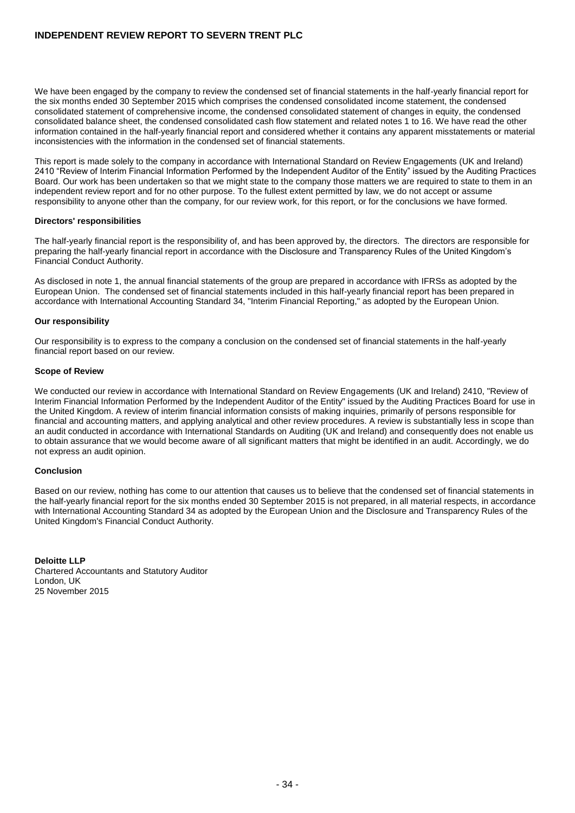#### **INDEPENDENT REVIEW REPORT TO SEVERN TRENT PLC**

We have been engaged by the company to review the condensed set of financial statements in the half-yearly financial report for the six months ended 30 September 2015 which comprises the condensed consolidated income statement, the condensed consolidated statement of comprehensive income, the condensed consolidated statement of changes in equity, the condensed consolidated balance sheet, the condensed consolidated cash flow statement and related notes 1 to 16. We have read the other information contained in the half-yearly financial report and considered whether it contains any apparent misstatements or material inconsistencies with the information in the condensed set of financial statements.

This report is made solely to the company in accordance with International Standard on Review Engagements (UK and Ireland) 2410 "Review of Interim Financial Information Performed by the Independent Auditor of the Entity" issued by the Auditing Practices Board. Our work has been undertaken so that we might state to the company those matters we are required to state to them in an independent review report and for no other purpose. To the fullest extent permitted by law, we do not accept or assume responsibility to anyone other than the company, for our review work, for this report, or for the conclusions we have formed.

#### **Directors' responsibilities**

The half-yearly financial report is the responsibility of, and has been approved by, the directors. The directors are responsible for preparing the half-yearly financial report in accordance with the Disclosure and Transparency Rules of the United Kingdom's Financial Conduct Authority.

As disclosed in note 1, the annual financial statements of the group are prepared in accordance with IFRSs as adopted by the European Union. The condensed set of financial statements included in this half-yearly financial report has been prepared in accordance with International Accounting Standard 34, "Interim Financial Reporting," as adopted by the European Union.

#### **Our responsibility**

Our responsibility is to express to the company a conclusion on the condensed set of financial statements in the half-yearly financial report based on our review.

#### **Scope of Review**

We conducted our review in accordance with International Standard on Review Engagements (UK and Ireland) 2410, "Review of Interim Financial Information Performed by the Independent Auditor of the Entity" issued by the Auditing Practices Board for use in the United Kingdom. A review of interim financial information consists of making inquiries, primarily of persons responsible for financial and accounting matters, and applying analytical and other review procedures. A review is substantially less in scope than an audit conducted in accordance with International Standards on Auditing (UK and Ireland) and consequently does not enable us to obtain assurance that we would become aware of all significant matters that might be identified in an audit. Accordingly, we do not express an audit opinion.

#### **Conclusion**

Based on our review, nothing has come to our attention that causes us to believe that the condensed set of financial statements in the half-yearly financial report for the six months ended 30 September 2015 is not prepared, in all material respects, in accordance with International Accounting Standard 34 as adopted by the European Union and the Disclosure and Transparency Rules of the United Kingdom's Financial Conduct Authority.

**Deloitte LLP** Chartered Accountants and Statutory Auditor London, UK 25 November 2015